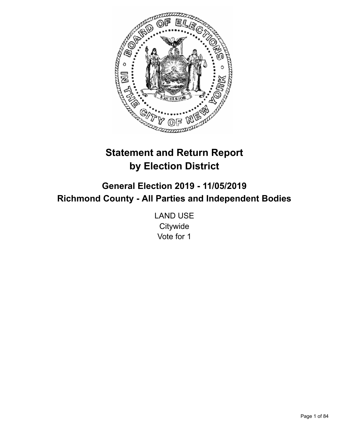

# **Statement and Return Report by Election District**

**General Election 2019 - 11/05/2019 Richmond County - All Parties and Independent Bodies**

> LAND USE **Citywide** Vote for 1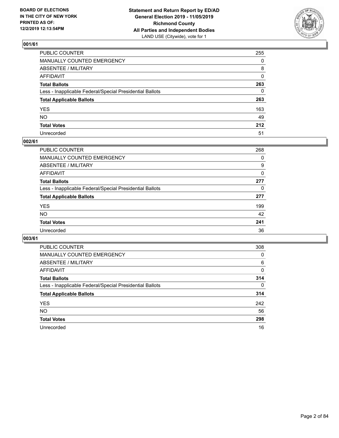

| PUBLIC COUNTER                                           | 255      |
|----------------------------------------------------------|----------|
| MANUALLY COUNTED EMERGENCY                               | $\Omega$ |
| ABSENTEE / MILITARY                                      | 8        |
| AFFIDAVIT                                                | 0        |
| Total Ballots                                            | 263      |
| Less - Inapplicable Federal/Special Presidential Ballots | 0        |
| <b>Total Applicable Ballots</b>                          | 263      |
| YES                                                      | 163      |
| NO.                                                      | 49       |
| <b>Total Votes</b>                                       | 212      |
| Unrecorded                                               | 51       |

### **002/61**

| <b>PUBLIC COUNTER</b>                                    | 268 |
|----------------------------------------------------------|-----|
| <b>MANUALLY COUNTED EMERGENCY</b>                        | 0   |
| ABSENTEE / MILITARY                                      | 9   |
| AFFIDAVIT                                                | 0   |
| <b>Total Ballots</b>                                     | 277 |
| Less - Inapplicable Federal/Special Presidential Ballots | 0   |
| <b>Total Applicable Ballots</b>                          | 277 |
| <b>YES</b>                                               | 199 |
| <b>NO</b>                                                | 42  |
| <b>Total Votes</b>                                       | 241 |
| Unrecorded                                               | 36  |

| <b>PUBLIC COUNTER</b>                                    | 308      |
|----------------------------------------------------------|----------|
| <b>MANUALLY COUNTED EMERGENCY</b>                        | 0        |
| ABSENTEE / MILITARY                                      | 6        |
| AFFIDAVIT                                                | 0        |
| <b>Total Ballots</b>                                     | 314      |
| Less - Inapplicable Federal/Special Presidential Ballots | $\Omega$ |
| <b>Total Applicable Ballots</b>                          | 314      |
| <b>YES</b>                                               | 242      |
| <b>NO</b>                                                | 56       |
| <b>Total Votes</b>                                       | 298      |
| Unrecorded                                               | 16       |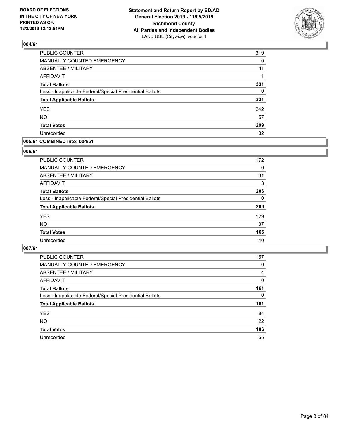

| PUBLIC COUNTER                                           | 319      |
|----------------------------------------------------------|----------|
| MANUALLY COUNTED EMERGENCY                               | 0        |
| <b>ABSENTEE / MILITARY</b>                               | 11       |
| <b>AFFIDAVIT</b>                                         | 1        |
| <b>Total Ballots</b>                                     | 331      |
| Less - Inapplicable Federal/Special Presidential Ballots | $\Omega$ |
| <b>Total Applicable Ballots</b>                          | 331      |
| <b>YES</b>                                               | 242      |
| <b>NO</b>                                                | 57       |
| <b>Total Votes</b>                                       | 299      |
| Unrecorded                                               | 32       |

#### **005/61 COMBINED into: 004/61**

#### **006/61**

| <b>PUBLIC COUNTER</b>                                    | 172      |
|----------------------------------------------------------|----------|
| <b>MANUALLY COUNTED EMERGENCY</b>                        | $\Omega$ |
| ABSENTEE / MILITARY                                      | 31       |
| AFFIDAVIT                                                | 3        |
| <b>Total Ballots</b>                                     | 206      |
| Less - Inapplicable Federal/Special Presidential Ballots | 0        |
| <b>Total Applicable Ballots</b>                          | 206      |
| <b>YES</b>                                               | 129      |
| <b>NO</b>                                                | 37       |
| <b>Total Votes</b>                                       | 166      |
| Unrecorded                                               | 40       |

| <b>PUBLIC COUNTER</b>                                    | 157      |
|----------------------------------------------------------|----------|
| <b>MANUALLY COUNTED EMERGENCY</b>                        | 0        |
| ABSENTEE / MILITARY                                      | 4        |
| AFFIDAVIT                                                | 0        |
| <b>Total Ballots</b>                                     | 161      |
| Less - Inapplicable Federal/Special Presidential Ballots | $\Omega$ |
| <b>Total Applicable Ballots</b>                          | 161      |
| <b>YES</b>                                               | 84       |
| <b>NO</b>                                                | 22       |
| <b>Total Votes</b>                                       | 106      |
| Unrecorded                                               | 55       |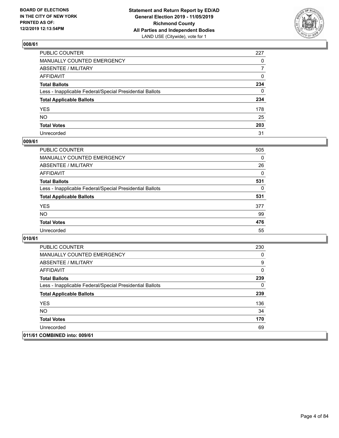

| PUBLIC COUNTER                                           | 227          |
|----------------------------------------------------------|--------------|
| MANUALLY COUNTED EMERGENCY                               | $\mathbf{0}$ |
| ABSENTEE / MILITARY                                      | 7            |
| AFFIDAVIT                                                | 0            |
| Total Ballots                                            | 234          |
| Less - Inapplicable Federal/Special Presidential Ballots | 0            |
| <b>Total Applicable Ballots</b>                          | 234          |
| YES                                                      | 178          |
| NO.                                                      | 25           |
| <b>Total Votes</b>                                       | 203          |
| Unrecorded                                               | 31           |

#### **009/61**

| <b>PUBLIC COUNTER</b>                                    | 505      |
|----------------------------------------------------------|----------|
| <b>MANUALLY COUNTED EMERGENCY</b>                        | $\Omega$ |
| ABSENTEE / MILITARY                                      | 26       |
| <b>AFFIDAVIT</b>                                         | $\Omega$ |
| <b>Total Ballots</b>                                     | 531      |
| Less - Inapplicable Federal/Special Presidential Ballots | $\Omega$ |
| <b>Total Applicable Ballots</b>                          | 531      |
| <b>YES</b>                                               | 377      |
| <b>NO</b>                                                | 99       |
| <b>Total Votes</b>                                       | 476      |
| Unrecorded                                               | 55       |

| <b>PUBLIC COUNTER</b>                                    | 230      |
|----------------------------------------------------------|----------|
| <b>MANUALLY COUNTED EMERGENCY</b>                        | 0        |
| ABSENTEE / MILITARY                                      | 9        |
| AFFIDAVIT                                                | 0        |
| <b>Total Ballots</b>                                     | 239      |
| Less - Inapplicable Federal/Special Presidential Ballots | $\Omega$ |
| <b>Total Applicable Ballots</b>                          | 239      |
| <b>YES</b>                                               | 136      |
| NO.                                                      | 34       |
| <b>Total Votes</b>                                       | 170      |
| Unrecorded                                               | 69       |
| 011/61 COMBINED into: 009/61                             |          |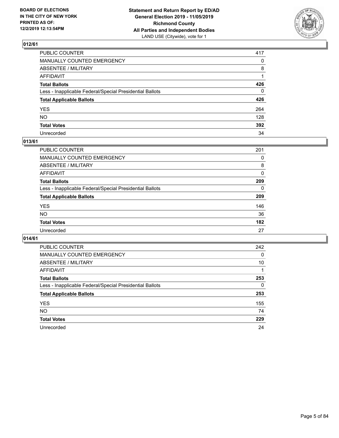

| PUBLIC COUNTER                                           | 417          |
|----------------------------------------------------------|--------------|
| MANUALLY COUNTED EMERGENCY                               | $\mathbf{0}$ |
| ABSENTEE / MILITARY                                      | 8            |
| AFFIDAVIT                                                |              |
| Total Ballots                                            | 426          |
| Less - Inapplicable Federal/Special Presidential Ballots | 0            |
| <b>Total Applicable Ballots</b>                          | 426          |
| YES                                                      | 264          |
| NO.                                                      | 128          |
| <b>Total Votes</b>                                       | 392          |
| Unrecorded                                               | 34           |

#### **013/61**

| <b>PUBLIC COUNTER</b>                                    | 201      |
|----------------------------------------------------------|----------|
| MANUALLY COUNTED EMERGENCY                               | 0        |
| ABSENTEE / MILITARY                                      | 8        |
| AFFIDAVIT                                                | 0        |
| <b>Total Ballots</b>                                     | 209      |
| Less - Inapplicable Federal/Special Presidential Ballots | $\Omega$ |
| <b>Total Applicable Ballots</b>                          | 209      |
| <b>YES</b>                                               | 146      |
| <b>NO</b>                                                | 36       |
| <b>Total Votes</b>                                       | 182      |
| Unrecorded                                               | 27       |

| <b>PUBLIC COUNTER</b>                                    | 242 |
|----------------------------------------------------------|-----|
| <b>MANUALLY COUNTED EMERGENCY</b>                        | 0   |
| ABSENTEE / MILITARY                                      | 10  |
| AFFIDAVIT                                                |     |
| <b>Total Ballots</b>                                     | 253 |
| Less - Inapplicable Federal/Special Presidential Ballots | 0   |
| <b>Total Applicable Ballots</b>                          | 253 |
| <b>YES</b>                                               | 155 |
| NO.                                                      | 74  |
| <b>Total Votes</b>                                       | 229 |
| Unrecorded                                               | 24  |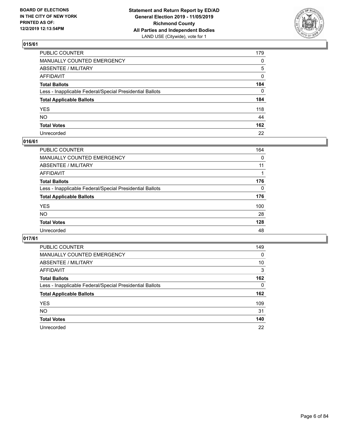

| PUBLIC COUNTER                                           | 179 |
|----------------------------------------------------------|-----|
| MANUALLY COUNTED EMERGENCY                               | 0   |
| ABSENTEE / MILITARY                                      | 5   |
| AFFIDAVIT                                                | 0   |
| Total Ballots                                            | 184 |
| Less - Inapplicable Federal/Special Presidential Ballots | 0   |
| <b>Total Applicable Ballots</b>                          | 184 |
| YES                                                      | 118 |
| NΟ                                                       | 44  |
| <b>Total Votes</b>                                       | 162 |
| Unrecorded                                               | 22  |

### **016/61**

| <b>PUBLIC COUNTER</b>                                    | 164      |
|----------------------------------------------------------|----------|
| <b>MANUALLY COUNTED EMERGENCY</b>                        | 0        |
| ABSENTEE / MILITARY                                      | 11       |
| AFFIDAVIT                                                |          |
| <b>Total Ballots</b>                                     | 176      |
| Less - Inapplicable Federal/Special Presidential Ballots | $\Omega$ |
| <b>Total Applicable Ballots</b>                          | 176      |
| <b>YES</b>                                               | 100      |
| <b>NO</b>                                                | 28       |
| <b>Total Votes</b>                                       | 128      |
| Unrecorded                                               | 48       |

| <b>PUBLIC COUNTER</b>                                    | 149 |
|----------------------------------------------------------|-----|
| MANUALLY COUNTED EMERGENCY                               | 0   |
| ABSENTEE / MILITARY                                      | 10  |
| AFFIDAVIT                                                | 3   |
| <b>Total Ballots</b>                                     | 162 |
| Less - Inapplicable Federal/Special Presidential Ballots | 0   |
| <b>Total Applicable Ballots</b>                          | 162 |
| <b>YES</b>                                               | 109 |
| NO.                                                      | 31  |
| <b>Total Votes</b>                                       | 140 |
| Unrecorded                                               | 22  |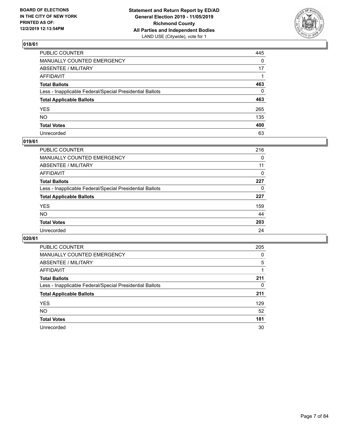

| PUBLIC COUNTER                                           | 445          |
|----------------------------------------------------------|--------------|
| MANUALLY COUNTED EMERGENCY                               | $\mathbf{0}$ |
| ABSENTEE / MILITARY                                      | 17           |
| AFFIDAVIT                                                |              |
| Total Ballots                                            | 463          |
| Less - Inapplicable Federal/Special Presidential Ballots | 0            |
| <b>Total Applicable Ballots</b>                          | 463          |
| YES                                                      | 265          |
| NO.                                                      | 135          |
| <b>Total Votes</b>                                       | 400          |
| Unrecorded                                               | 63           |

### **019/61**

| <b>PUBLIC COUNTER</b>                                    | 216      |
|----------------------------------------------------------|----------|
| <b>MANUALLY COUNTED EMERGENCY</b>                        | 0        |
| ABSENTEE / MILITARY                                      | 11       |
| AFFIDAVIT                                                | $\Omega$ |
| <b>Total Ballots</b>                                     | 227      |
| Less - Inapplicable Federal/Special Presidential Ballots | $\Omega$ |
| <b>Total Applicable Ballots</b>                          | 227      |
| <b>YES</b>                                               | 159      |
| <b>NO</b>                                                | 44       |
| <b>Total Votes</b>                                       | 203      |
| Unrecorded                                               | 24       |

| <b>PUBLIC COUNTER</b>                                    | 205 |
|----------------------------------------------------------|-----|
| MANUALLY COUNTED EMERGENCY                               | 0   |
| ABSENTEE / MILITARY                                      | 5   |
| AFFIDAVIT                                                |     |
| <b>Total Ballots</b>                                     | 211 |
| Less - Inapplicable Federal/Special Presidential Ballots | 0   |
| <b>Total Applicable Ballots</b>                          | 211 |
| <b>YES</b>                                               | 129 |
| NO.                                                      | 52  |
| <b>Total Votes</b>                                       | 181 |
| Unrecorded                                               | 30  |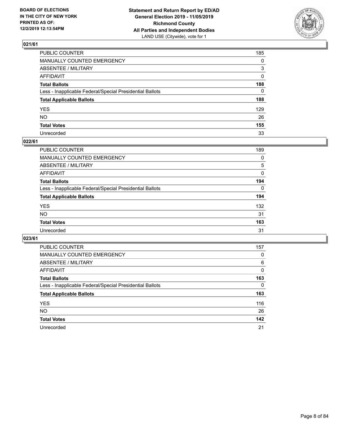

| PUBLIC COUNTER                                           | 185          |
|----------------------------------------------------------|--------------|
| MANUALLY COUNTED EMERGENCY                               | $\mathbf{0}$ |
| ABSENTEE / MILITARY                                      | 3            |
| AFFIDAVIT                                                | $\mathbf{0}$ |
| Total Ballots                                            | 188          |
| Less - Inapplicable Federal/Special Presidential Ballots | $\mathbf{0}$ |
| <b>Total Applicable Ballots</b>                          | 188          |
| YES                                                      | 129          |
| NO.                                                      | 26           |
| <b>Total Votes</b>                                       | 155          |
| Unrecorded                                               | 33           |

### **022/61**

| <b>PUBLIC COUNTER</b>                                    | 189      |
|----------------------------------------------------------|----------|
| MANUALLY COUNTED EMERGENCY                               | 0        |
| ABSENTEE / MILITARY                                      | 5        |
| AFFIDAVIT                                                | 0        |
| <b>Total Ballots</b>                                     | 194      |
| Less - Inapplicable Federal/Special Presidential Ballots | $\Omega$ |
| <b>Total Applicable Ballots</b>                          | 194      |
| <b>YES</b>                                               | 132      |
| <b>NO</b>                                                | 31       |
| <b>Total Votes</b>                                       | 163      |
| Unrecorded                                               | 31       |

| <b>PUBLIC COUNTER</b>                                    | 157 |
|----------------------------------------------------------|-----|
| <b>MANUALLY COUNTED EMERGENCY</b>                        | 0   |
| ABSENTEE / MILITARY                                      | 6   |
| AFFIDAVIT                                                | 0   |
| <b>Total Ballots</b>                                     | 163 |
| Less - Inapplicable Federal/Special Presidential Ballots | 0   |
| <b>Total Applicable Ballots</b>                          | 163 |
| <b>YES</b>                                               | 116 |
| <b>NO</b>                                                | 26  |
| <b>Total Votes</b>                                       | 142 |
| Unrecorded                                               | 21  |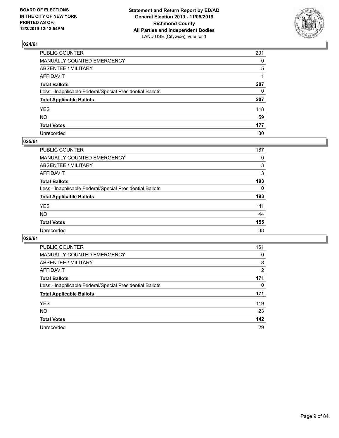

| PUBLIC COUNTER                                           | 201      |
|----------------------------------------------------------|----------|
| MANUALLY COUNTED EMERGENCY                               | $\Omega$ |
| ABSENTEE / MILITARY                                      | 5        |
| AFFIDAVIT                                                |          |
| Total Ballots                                            | 207      |
| Less - Inapplicable Federal/Special Presidential Ballots | 0        |
| <b>Total Applicable Ballots</b>                          | 207      |
| YES                                                      | 118      |
| NΟ                                                       | 59       |
| <b>Total Votes</b>                                       | 177      |
| Unrecorded                                               | 30       |

#### **025/61**

| <b>PUBLIC COUNTER</b>                                    | 187      |
|----------------------------------------------------------|----------|
| <b>MANUALLY COUNTED EMERGENCY</b>                        | 0        |
| ABSENTEE / MILITARY                                      | 3        |
| AFFIDAVIT                                                | 3        |
| <b>Total Ballots</b>                                     | 193      |
| Less - Inapplicable Federal/Special Presidential Ballots | $\Omega$ |
| <b>Total Applicable Ballots</b>                          | 193      |
| <b>YES</b>                                               | 111      |
| <b>NO</b>                                                | 44       |
| <b>Total Votes</b>                                       | 155      |
| Unrecorded                                               | 38       |

| <b>PUBLIC COUNTER</b>                                    | 161      |
|----------------------------------------------------------|----------|
| MANUALLY COUNTED EMERGENCY                               | 0        |
| ABSENTEE / MILITARY                                      | 8        |
| AFFIDAVIT                                                | 2        |
| <b>Total Ballots</b>                                     | 171      |
| Less - Inapplicable Federal/Special Presidential Ballots | $\Omega$ |
| <b>Total Applicable Ballots</b>                          | 171      |
| <b>YES</b>                                               | 119      |
| NO.                                                      | 23       |
| <b>Total Votes</b>                                       | 142      |
| Unrecorded                                               | 29       |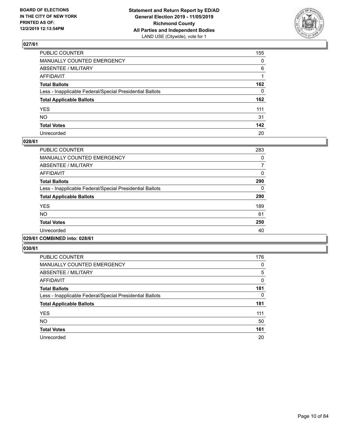

| PUBLIC COUNTER                                           | 155          |
|----------------------------------------------------------|--------------|
| MANUALLY COUNTED EMERGENCY                               | $\mathbf{0}$ |
| ABSENTEE / MILITARY                                      | 6            |
| AFFIDAVIT                                                |              |
| Total Ballots                                            | 162          |
| Less - Inapplicable Federal/Special Presidential Ballots | $\mathbf{0}$ |
| <b>Total Applicable Ballots</b>                          | 162          |
| YES                                                      | 111          |
| NO.                                                      | 31           |
| <b>Total Votes</b>                                       | 142          |
| Unrecorded                                               | 20           |

#### **028/61**

| <b>PUBLIC COUNTER</b>                                    | 283      |
|----------------------------------------------------------|----------|
| <b>MANUALLY COUNTED EMERGENCY</b>                        | 0        |
| ABSENTEE / MILITARY                                      | 7        |
| <b>AFFIDAVIT</b>                                         | $\Omega$ |
| <b>Total Ballots</b>                                     | 290      |
| Less - Inapplicable Federal/Special Presidential Ballots | 0        |
| <b>Total Applicable Ballots</b>                          | 290      |
| <b>YES</b>                                               | 189      |
| <b>NO</b>                                                | 61       |
| <b>Total Votes</b>                                       | 250      |
| Unrecorded                                               | 40       |
|                                                          |          |

#### **029/61 COMBINED into: 028/61**

| <b>PUBLIC COUNTER</b>                                    | 176          |
|----------------------------------------------------------|--------------|
| <b>MANUALLY COUNTED EMERGENCY</b>                        | 0            |
| ABSENTEE / MILITARY                                      | 5            |
| AFFIDAVIT                                                | $\mathbf{0}$ |
| <b>Total Ballots</b>                                     | 181          |
| Less - Inapplicable Federal/Special Presidential Ballots | 0            |
| <b>Total Applicable Ballots</b>                          | 181          |
| <b>YES</b>                                               | 111          |
| <b>NO</b>                                                | 50           |
| <b>Total Votes</b>                                       | 161          |
| Unrecorded                                               | 20           |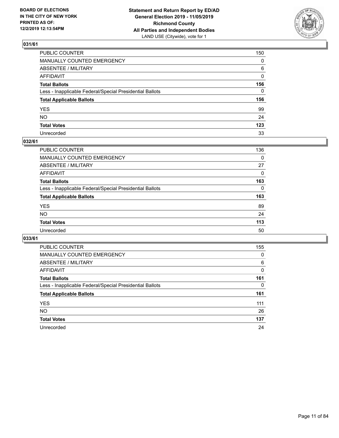

| PUBLIC COUNTER                                           | 150          |
|----------------------------------------------------------|--------------|
| MANUALLY COUNTED EMERGENCY                               | $\mathbf{0}$ |
| ABSENTEE / MILITARY                                      | 6            |
| AFFIDAVIT                                                | 0            |
| Total Ballots                                            | 156          |
| Less - Inapplicable Federal/Special Presidential Ballots | 0            |
| <b>Total Applicable Ballots</b>                          | 156          |
| YES                                                      | 99           |
| NO.                                                      | 24           |
| <b>Total Votes</b>                                       | 123          |
| Unrecorded                                               | 33           |

### **032/61**

| PUBLIC COUNTER                                           | 136      |
|----------------------------------------------------------|----------|
| MANUALLY COUNTED EMERGENCY                               | $\Omega$ |
| ABSENTEE / MILITARY                                      | 27       |
| AFFIDAVIT                                                | $\Omega$ |
| <b>Total Ballots</b>                                     | 163      |
| Less - Inapplicable Federal/Special Presidential Ballots | $\Omega$ |
| <b>Total Applicable Ballots</b>                          | 163      |
| <b>YES</b>                                               | 89       |
| <b>NO</b>                                                | 24       |
| <b>Total Votes</b>                                       | 113      |
| Unrecorded                                               | 50       |

| <b>PUBLIC COUNTER</b>                                    | 155 |
|----------------------------------------------------------|-----|
| MANUALLY COUNTED EMERGENCY                               | 0   |
| ABSENTEE / MILITARY                                      | 6   |
| AFFIDAVIT                                                | 0   |
| <b>Total Ballots</b>                                     | 161 |
| Less - Inapplicable Federal/Special Presidential Ballots | 0   |
| <b>Total Applicable Ballots</b>                          | 161 |
| <b>YES</b>                                               | 111 |
| NO.                                                      | 26  |
| <b>Total Votes</b>                                       | 137 |
| Unrecorded                                               | 24  |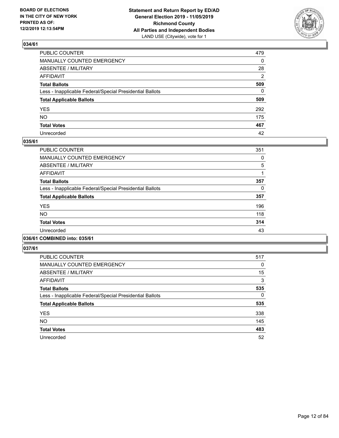

| PUBLIC COUNTER                                           | 479          |
|----------------------------------------------------------|--------------|
| MANUALLY COUNTED EMERGENCY                               | $\mathbf{0}$ |
| ABSENTEE / MILITARY                                      | 28           |
| AFFIDAVIT                                                | 2            |
| Total Ballots                                            | 509          |
| Less - Inapplicable Federal/Special Presidential Ballots | $\Omega$     |
| <b>Total Applicable Ballots</b>                          | 509          |
| YES                                                      | 292          |
| NO.                                                      | 175          |
| <b>Total Votes</b>                                       | 467          |
| Unrecorded                                               | 42           |

#### **035/61**

| <b>PUBLIC COUNTER</b>                                    | 351 |
|----------------------------------------------------------|-----|
| MANUALLY COUNTED EMERGENCY                               | 0   |
| ABSENTEE / MILITARY                                      | 5   |
| <b>AFFIDAVIT</b>                                         |     |
| <b>Total Ballots</b>                                     | 357 |
| Less - Inapplicable Federal/Special Presidential Ballots | 0   |
| <b>Total Applicable Ballots</b>                          | 357 |
| <b>YES</b>                                               | 196 |
| <b>NO</b>                                                | 118 |
| <b>Total Votes</b>                                       | 314 |
| Unrecorded                                               | 43  |
|                                                          |     |

#### **036/61 COMBINED into: 035/61**

| <b>PUBLIC COUNTER</b>                                    | 517 |
|----------------------------------------------------------|-----|
| <b>MANUALLY COUNTED EMERGENCY</b>                        | 0   |
| ABSENTEE / MILITARY                                      | 15  |
| <b>AFFIDAVIT</b>                                         | 3   |
| <b>Total Ballots</b>                                     | 535 |
| Less - Inapplicable Federal/Special Presidential Ballots | 0   |
| <b>Total Applicable Ballots</b>                          | 535 |
| <b>YES</b>                                               | 338 |
| <b>NO</b>                                                | 145 |
| <b>Total Votes</b>                                       | 483 |
| Unrecorded                                               | 52  |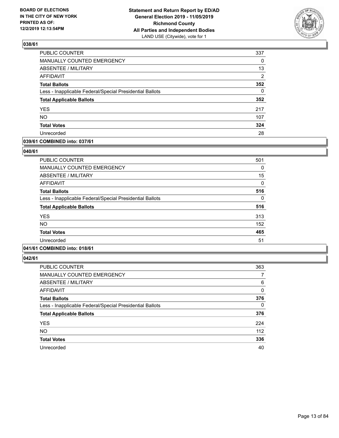

| PUBLIC COUNTER                                           | 337      |
|----------------------------------------------------------|----------|
| MANUALLY COUNTED EMERGENCY                               | 0        |
| <b>ABSENTEE / MILITARY</b>                               | 13       |
| <b>AFFIDAVIT</b>                                         | 2        |
| <b>Total Ballots</b>                                     | 352      |
| Less - Inapplicable Federal/Special Presidential Ballots | $\Omega$ |
| <b>Total Applicable Ballots</b>                          | 352      |
| <b>YES</b>                                               | 217      |
| <b>NO</b>                                                | 107      |
| <b>Total Votes</b>                                       | 324      |
| Unrecorded                                               | 28       |

#### **039/61 COMBINED into: 037/61**

#### **040/61**

| <b>PUBLIC COUNTER</b>                                    | 501          |
|----------------------------------------------------------|--------------|
| <b>MANUALLY COUNTED EMERGENCY</b>                        | 0            |
| <b>ABSENTEE / MILITARY</b>                               | 15           |
| <b>AFFIDAVIT</b>                                         | $\mathbf{0}$ |
| <b>Total Ballots</b>                                     | 516          |
| Less - Inapplicable Federal/Special Presidential Ballots | 0            |
| <b>Total Applicable Ballots</b>                          | 516          |
| <b>YES</b>                                               | 313          |
| <b>NO</b>                                                | 152          |
| <b>Total Votes</b>                                       | 465          |
| Unrecorded                                               | 51           |
|                                                          |              |

# **041/61 COMBINED into: 018/61**

| <b>PUBLIC COUNTER</b>                                    | 363 |
|----------------------------------------------------------|-----|
| <b>MANUALLY COUNTED EMERGENCY</b>                        | 7   |
| ABSENTEE / MILITARY                                      | 6   |
| AFFIDAVIT                                                | 0   |
| <b>Total Ballots</b>                                     | 376 |
| Less - Inapplicable Federal/Special Presidential Ballots | 0   |
| <b>Total Applicable Ballots</b>                          | 376 |
| <b>YES</b>                                               | 224 |
| <b>NO</b>                                                | 112 |
| <b>Total Votes</b>                                       | 336 |
| Unrecorded                                               | 40  |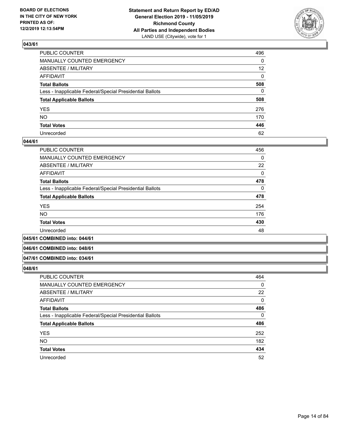

| PUBLIC COUNTER                                           | 496             |
|----------------------------------------------------------|-----------------|
| MANUALLY COUNTED EMERGENCY                               | 0               |
| ABSENTEE / MILITARY                                      | 12 <sup>2</sup> |
| AFFIDAVIT                                                | 0               |
| Total Ballots                                            | 508             |
| Less - Inapplicable Federal/Special Presidential Ballots | 0               |
| <b>Total Applicable Ballots</b>                          | 508             |
| YES                                                      | 276             |
| NO.                                                      | 170             |
| <b>Total Votes</b>                                       | 446             |
| Unrecorded                                               | 62              |

#### **044/61**

| <b>PUBLIC COUNTER</b>                                    | 456      |
|----------------------------------------------------------|----------|
| MANUALLY COUNTED EMERGENCY                               | $\Omega$ |
| ABSENTEE / MILITARY                                      | 22       |
| AFFIDAVIT                                                | $\Omega$ |
| <b>Total Ballots</b>                                     | 478      |
| Less - Inapplicable Federal/Special Presidential Ballots | $\Omega$ |
| <b>Total Applicable Ballots</b>                          | 478      |
| <b>YES</b>                                               | 254      |
| <b>NO</b>                                                | 176      |
| <b>Total Votes</b>                                       | 430      |
| Unrecorded                                               | 48       |
|                                                          |          |

#### **045/61 COMBINED into: 044/61**

#### **046/61 COMBINED into: 048/61**

#### **047/61 COMBINED into: 034/61**

| <b>PUBLIC COUNTER</b>                                    | 464 |
|----------------------------------------------------------|-----|
| MANUALLY COUNTED EMERGENCY                               | 0   |
| ABSENTEE / MILITARY                                      | 22  |
| AFFIDAVIT                                                | 0   |
| <b>Total Ballots</b>                                     | 486 |
| Less - Inapplicable Federal/Special Presidential Ballots | 0   |
| <b>Total Applicable Ballots</b>                          | 486 |
| <b>YES</b>                                               | 252 |
| <b>NO</b>                                                | 182 |
| <b>Total Votes</b>                                       | 434 |
| Unrecorded                                               | 52  |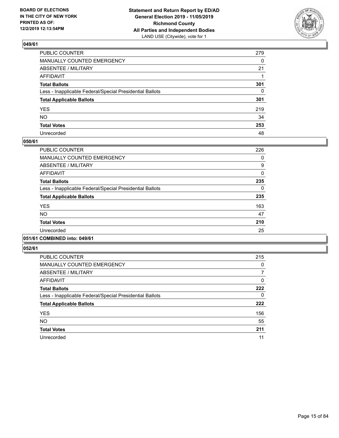

| PUBLIC COUNTER                                           | 279          |
|----------------------------------------------------------|--------------|
| MANUALLY COUNTED EMERGENCY                               | $\Omega$     |
| ABSENTEE / MILITARY                                      | 21           |
| AFFIDAVIT                                                |              |
| Total Ballots                                            | 301          |
| Less - Inapplicable Federal/Special Presidential Ballots | $\mathbf{0}$ |
| <b>Total Applicable Ballots</b>                          | 301          |
| YES                                                      | 219          |
| NO.                                                      | 34           |
| <b>Total Votes</b>                                       | 253          |
| Unrecorded                                               | 48           |

#### **050/61**

| <b>PUBLIC COUNTER</b>                                    | 226      |
|----------------------------------------------------------|----------|
| <b>MANUALLY COUNTED EMERGENCY</b>                        | 0        |
| ABSENTEE / MILITARY                                      | 9        |
| AFFIDAVIT                                                | $\Omega$ |
| <b>Total Ballots</b>                                     | 235      |
| Less - Inapplicable Federal/Special Presidential Ballots | $\Omega$ |
| <b>Total Applicable Ballots</b>                          | 235      |
| <b>YES</b>                                               | 163      |
| <b>NO</b>                                                | 47       |
| <b>Total Votes</b>                                       | 210      |
| Unrecorded                                               | 25       |
|                                                          |          |

#### **051/61 COMBINED into: 049/61**

| <b>PUBLIC COUNTER</b>                                    | 215 |
|----------------------------------------------------------|-----|
| <b>MANUALLY COUNTED EMERGENCY</b>                        | 0   |
| ABSENTEE / MILITARY                                      | 7   |
| <b>AFFIDAVIT</b>                                         | 0   |
| <b>Total Ballots</b>                                     | 222 |
| Less - Inapplicable Federal/Special Presidential Ballots | 0   |
| <b>Total Applicable Ballots</b>                          | 222 |
| <b>YES</b>                                               | 156 |
| <b>NO</b>                                                | 55  |
| <b>Total Votes</b>                                       | 211 |
| Unrecorded                                               | 11  |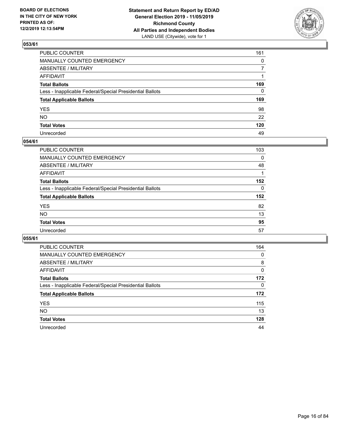

| PUBLIC COUNTER                                           | 161          |
|----------------------------------------------------------|--------------|
| MANUALLY COUNTED EMERGENCY                               | $\mathbf{0}$ |
| ABSENTEE / MILITARY                                      | 7            |
| AFFIDAVIT                                                |              |
| Total Ballots                                            | 169          |
| Less - Inapplicable Federal/Special Presidential Ballots | 0            |
| <b>Total Applicable Ballots</b>                          | 169          |
| YES                                                      | 98           |
| NO.                                                      | 22           |
| <b>Total Votes</b>                                       | 120          |
| Unrecorded                                               | 49           |

### **054/61**

| PUBLIC COUNTER                                           | 103 |
|----------------------------------------------------------|-----|
| MANUALLY COUNTED EMERGENCY                               | 0   |
| ABSENTEE / MILITARY                                      | 48  |
| AFFIDAVIT                                                |     |
| <b>Total Ballots</b>                                     | 152 |
| Less - Inapplicable Federal/Special Presidential Ballots | 0   |
| <b>Total Applicable Ballots</b>                          | 152 |
| <b>YES</b>                                               | 82  |
| <b>NO</b>                                                | 13  |
| <b>Total Votes</b>                                       | 95  |
| Unrecorded                                               | 57  |

| <b>PUBLIC COUNTER</b>                                    | 164      |
|----------------------------------------------------------|----------|
| <b>MANUALLY COUNTED EMERGENCY</b>                        | $\Omega$ |
| ABSENTEE / MILITARY                                      | 8        |
| AFFIDAVIT                                                | 0        |
| <b>Total Ballots</b>                                     | 172      |
| Less - Inapplicable Federal/Special Presidential Ballots | $\Omega$ |
| <b>Total Applicable Ballots</b>                          | 172      |
| <b>YES</b>                                               | 115      |
| <b>NO</b>                                                | 13       |
| <b>Total Votes</b>                                       | 128      |
| Unrecorded                                               | 44       |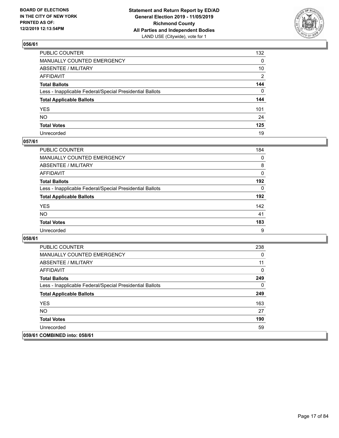

| PUBLIC COUNTER                                           | 132            |
|----------------------------------------------------------|----------------|
| MANUALLY COUNTED EMERGENCY                               | $\mathbf{0}$   |
| ABSENTEE / MILITARY                                      | 10             |
| AFFIDAVIT                                                | $\overline{2}$ |
| Total Ballots                                            | 144            |
| Less - Inapplicable Federal/Special Presidential Ballots | $\Omega$       |
| <b>Total Applicable Ballots</b>                          | 144            |
| YES                                                      | 101            |
| NO.                                                      | 24             |
| <b>Total Votes</b>                                       | 125            |
| Unrecorded                                               | 19             |

### **057/61**

| <b>PUBLIC COUNTER</b>                                    | 184      |
|----------------------------------------------------------|----------|
| <b>MANUALLY COUNTED EMERGENCY</b>                        | $\Omega$ |
| ABSENTEE / MILITARY                                      | 8        |
| AFFIDAVIT                                                | 0        |
| <b>Total Ballots</b>                                     | 192      |
| Less - Inapplicable Federal/Special Presidential Ballots | $\Omega$ |
| <b>Total Applicable Ballots</b>                          | 192      |
| <b>YES</b>                                               | 142      |
| <b>NO</b>                                                | 41       |
| <b>Total Votes</b>                                       | 183      |
| Unrecorded                                               | 9        |

| <b>PUBLIC COUNTER</b>                                    | 238 |
|----------------------------------------------------------|-----|
| <b>MANUALLY COUNTED EMERGENCY</b>                        | 0   |
| ABSENTEE / MILITARY                                      | 11  |
| AFFIDAVIT                                                | 0   |
| <b>Total Ballots</b>                                     | 249 |
| Less - Inapplicable Federal/Special Presidential Ballots | 0   |
| <b>Total Applicable Ballots</b>                          | 249 |
| <b>YES</b>                                               | 163 |
| <b>NO</b>                                                | 27  |
| <b>Total Votes</b>                                       | 190 |
| Unrecorded                                               | 59  |
| 059/61 COMBINED into: 058/61                             |     |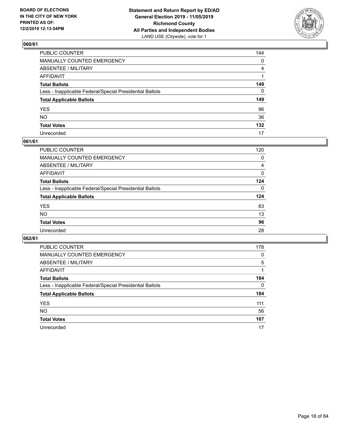

| PUBLIC COUNTER                                           | 144            |
|----------------------------------------------------------|----------------|
| MANUALLY COUNTED EMERGENCY                               | $\mathbf{0}$   |
| ABSENTEE / MILITARY                                      | $\overline{4}$ |
| AFFIDAVIT                                                |                |
| Total Ballots                                            | 149            |
| Less - Inapplicable Federal/Special Presidential Ballots | $\mathbf{0}$   |
| <b>Total Applicable Ballots</b>                          | 149            |
| YES                                                      | 96             |
| NO.                                                      | 36             |
| <b>Total Votes</b>                                       | 132            |
| Unrecorded                                               | 17             |

#### **061/61**

| PUBLIC COUNTER                                           | 120      |
|----------------------------------------------------------|----------|
| MANUALLY COUNTED EMERGENCY                               | 0        |
| ABSENTEE / MILITARY                                      | 4        |
| AFFIDAVIT                                                | $\Omega$ |
| <b>Total Ballots</b>                                     | 124      |
| Less - Inapplicable Federal/Special Presidential Ballots | 0        |
| <b>Total Applicable Ballots</b>                          | 124      |
| <b>YES</b>                                               | 83       |
| <b>NO</b>                                                | 13       |
| <b>Total Votes</b>                                       | 96       |
| Unrecorded                                               | 28       |

| <b>PUBLIC COUNTER</b>                                    | 178      |
|----------------------------------------------------------|----------|
| <b>MANUALLY COUNTED EMERGENCY</b>                        | $\Omega$ |
| ABSENTEE / MILITARY                                      | 5        |
| AFFIDAVIT                                                |          |
| <b>Total Ballots</b>                                     | 184      |
| Less - Inapplicable Federal/Special Presidential Ballots | $\Omega$ |
| <b>Total Applicable Ballots</b>                          | 184      |
| <b>YES</b>                                               | 111      |
| <b>NO</b>                                                | 56       |
| <b>Total Votes</b>                                       | 167      |
| Unrecorded                                               | 17       |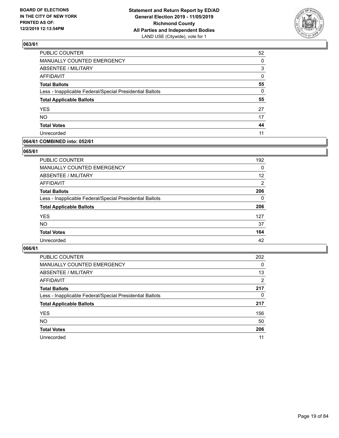

| PUBLIC COUNTER                                           | 52       |
|----------------------------------------------------------|----------|
| MANUALLY COUNTED EMERGENCY                               | 0        |
| <b>ABSENTEE / MILITARY</b>                               | 3        |
| <b>AFFIDAVIT</b>                                         | 0        |
| <b>Total Ballots</b>                                     | 55       |
| Less - Inapplicable Federal/Special Presidential Ballots | $\Omega$ |
| <b>Total Applicable Ballots</b>                          | 55       |
| <b>YES</b>                                               | 27       |
| <b>NO</b>                                                | 17       |
| <b>Total Votes</b>                                       | 44       |
| Unrecorded                                               | 11       |

#### **064/61 COMBINED into: 052/61**

#### **065/61**

| <b>PUBLIC COUNTER</b>                                    | 192            |
|----------------------------------------------------------|----------------|
| <b>MANUALLY COUNTED EMERGENCY</b>                        | 0              |
| ABSENTEE / MILITARY                                      | 12             |
| AFFIDAVIT                                                | $\overline{2}$ |
| <b>Total Ballots</b>                                     | 206            |
| Less - Inapplicable Federal/Special Presidential Ballots | $\Omega$       |
| <b>Total Applicable Ballots</b>                          | 206            |
| <b>YES</b>                                               | 127            |
| <b>NO</b>                                                | 37             |
| <b>Total Votes</b>                                       | 164            |
| Unrecorded                                               | 42             |

| <b>PUBLIC COUNTER</b>                                    | 202            |
|----------------------------------------------------------|----------------|
| MANUALLY COUNTED EMERGENCY                               | $\Omega$       |
| ABSENTEE / MILITARY                                      | 13             |
| AFFIDAVIT                                                | $\overline{2}$ |
| <b>Total Ballots</b>                                     | 217            |
| Less - Inapplicable Federal/Special Presidential Ballots | 0              |
| <b>Total Applicable Ballots</b>                          | 217            |
| <b>YES</b>                                               | 156            |
| <b>NO</b>                                                | 50             |
| <b>Total Votes</b>                                       | 206            |
| Unrecorded                                               | 11             |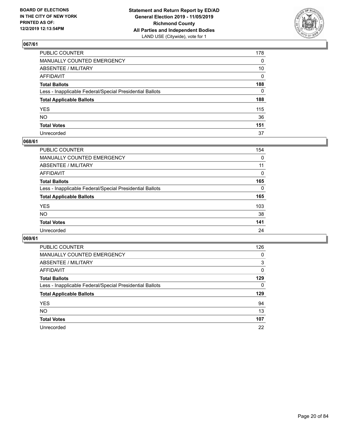

| PUBLIC COUNTER                                           | 178 |
|----------------------------------------------------------|-----|
| MANUALLY COUNTED EMERGENCY                               | 0   |
| ABSENTEE / MILITARY                                      | 10  |
| AFFIDAVIT                                                | 0   |
| Total Ballots                                            | 188 |
| Less - Inapplicable Federal/Special Presidential Ballots | 0   |
| <b>Total Applicable Ballots</b>                          | 188 |
| YES                                                      | 115 |
| NΟ                                                       | 36  |
| <b>Total Votes</b>                                       | 151 |
| Unrecorded                                               | 37  |

### **068/61**

| <b>PUBLIC COUNTER</b>                                    | 154      |
|----------------------------------------------------------|----------|
| <b>MANUALLY COUNTED EMERGENCY</b>                        | 0        |
| ABSENTEE / MILITARY                                      | 11       |
| AFFIDAVIT                                                | 0        |
| <b>Total Ballots</b>                                     | 165      |
| Less - Inapplicable Federal/Special Presidential Ballots | $\Omega$ |
| <b>Total Applicable Ballots</b>                          | 165      |
| <b>YES</b>                                               | 103      |
| <b>NO</b>                                                | 38       |
| <b>Total Votes</b>                                       | 141      |
| Unrecorded                                               | 24       |

| <b>PUBLIC COUNTER</b>                                    | 126      |
|----------------------------------------------------------|----------|
| MANUALLY COUNTED EMERGENCY                               | 0        |
| ABSENTEE / MILITARY                                      | 3        |
| AFFIDAVIT                                                | $\Omega$ |
| <b>Total Ballots</b>                                     | 129      |
| Less - Inapplicable Federal/Special Presidential Ballots | $\Omega$ |
| <b>Total Applicable Ballots</b>                          | 129      |
| <b>YES</b>                                               | 94       |
| <b>NO</b>                                                | 13       |
| <b>Total Votes</b>                                       | 107      |
| Unrecorded                                               | 22       |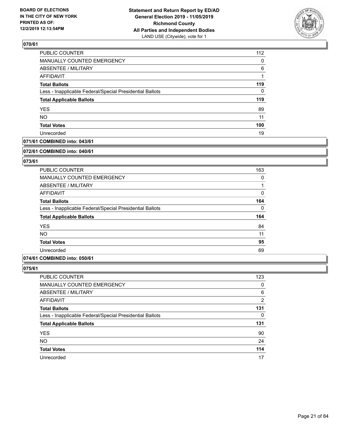

| PUBLIC COUNTER                                           | 112      |
|----------------------------------------------------------|----------|
| MANUALLY COUNTED EMERGENCY                               | $\Omega$ |
| <b>ABSENTEE / MILITARY</b>                               | 6        |
| AFFIDAVIT                                                |          |
| <b>Total Ballots</b>                                     | 119      |
| Less - Inapplicable Federal/Special Presidential Ballots | 0        |
| <b>Total Applicable Ballots</b>                          | 119      |
| <b>YES</b>                                               | 89       |
| <b>NO</b>                                                | 11       |
| <b>Total Votes</b>                                       | 100      |
| Unrecorded                                               | 19       |

#### **071/61 COMBINED into: 043/61**

#### **072/61 COMBINED into: 040/61**

#### **073/61**

| <b>PUBLIC COUNTER</b>                                    | 163 |
|----------------------------------------------------------|-----|
| <b>MANUALLY COUNTED EMERGENCY</b>                        | 0   |
| ABSENTEE / MILITARY                                      |     |
| AFFIDAVIT                                                | 0   |
| <b>Total Ballots</b>                                     | 164 |
| Less - Inapplicable Federal/Special Presidential Ballots | 0   |
| <b>Total Applicable Ballots</b>                          | 164 |
| <b>YES</b>                                               | 84  |
| <b>NO</b>                                                | 11  |
| <b>Total Votes</b>                                       | 95  |
| Unrecorded                                               | 69  |

#### **074/61 COMBINED into: 050/61**

| <b>PUBLIC COUNTER</b>                                    | 123 |
|----------------------------------------------------------|-----|
| MANUALLY COUNTED EMERGENCY                               | 0   |
| <b>ABSENTEE / MILITARY</b>                               | 6   |
| AFFIDAVIT                                                | 2   |
| <b>Total Ballots</b>                                     | 131 |
| Less - Inapplicable Federal/Special Presidential Ballots | 0   |
| <b>Total Applicable Ballots</b>                          | 131 |
| <b>YES</b>                                               | 90  |
| <b>NO</b>                                                | 24  |
| <b>Total Votes</b>                                       | 114 |
| Unrecorded                                               | 17  |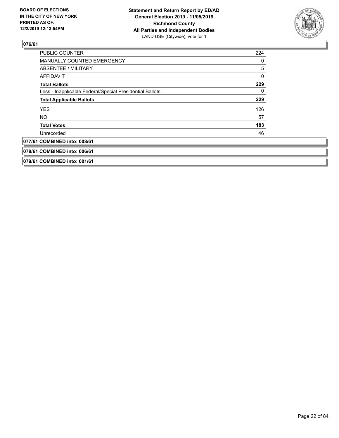

| <b>PUBLIC COUNTER</b>                                    | 224 |
|----------------------------------------------------------|-----|
| <b>MANUALLY COUNTED EMERGENCY</b>                        | 0   |
| ABSENTEE / MILITARY                                      | 5   |
| <b>AFFIDAVIT</b>                                         | 0   |
| <b>Total Ballots</b>                                     | 229 |
| Less - Inapplicable Federal/Special Presidential Ballots | 0   |
| <b>Total Applicable Ballots</b>                          | 229 |
| <b>YES</b>                                               | 126 |
| NO.                                                      | 57  |
| <b>Total Votes</b>                                       | 183 |
| Unrecorded                                               | 46  |
| 077/61 COMBINED into: 008/61                             |     |
| 078/61 COMBINED into: 006/61                             |     |
| 079/61 COMBINED into: 001/61                             |     |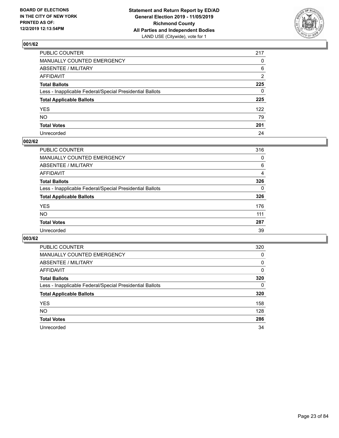

| PUBLIC COUNTER                                           | 217 |
|----------------------------------------------------------|-----|
| MANUALLY COUNTED EMERGENCY                               | 0   |
| ABSENTEE / MILITARY                                      | 6   |
| AFFIDAVIT                                                | 2   |
| Total Ballots                                            | 225 |
| Less - Inapplicable Federal/Special Presidential Ballots | 0   |
| <b>Total Applicable Ballots</b>                          | 225 |
| YES                                                      | 122 |
| NO.                                                      | 79  |
| <b>Total Votes</b>                                       | 201 |
| Unrecorded                                               | 24  |

### **002/62**

| PUBLIC COUNTER                                           | 316 |
|----------------------------------------------------------|-----|
| <b>MANUALLY COUNTED EMERGENCY</b>                        | 0   |
| ABSENTEE / MILITARY                                      | 6   |
| AFFIDAVIT                                                | 4   |
| <b>Total Ballots</b>                                     | 326 |
| Less - Inapplicable Federal/Special Presidential Ballots | 0   |
| <b>Total Applicable Ballots</b>                          | 326 |
| <b>YES</b>                                               | 176 |
| <b>NO</b>                                                | 111 |
| <b>Total Votes</b>                                       | 287 |
| Unrecorded                                               | 39  |

| <b>PUBLIC COUNTER</b>                                    | 320 |
|----------------------------------------------------------|-----|
| <b>MANUALLY COUNTED EMERGENCY</b>                        | 0   |
| ABSENTEE / MILITARY                                      | 0   |
| AFFIDAVIT                                                | 0   |
| <b>Total Ballots</b>                                     | 320 |
| Less - Inapplicable Federal/Special Presidential Ballots | 0   |
| <b>Total Applicable Ballots</b>                          | 320 |
| <b>YES</b>                                               | 158 |
| NO.                                                      | 128 |
| <b>Total Votes</b>                                       | 286 |
| Unrecorded                                               | 34  |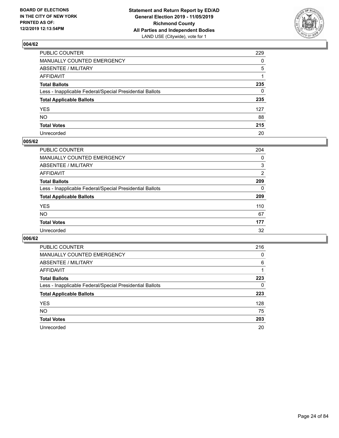

| PUBLIC COUNTER                                           | 229 |
|----------------------------------------------------------|-----|
| MANUALLY COUNTED EMERGENCY                               | 0   |
| ABSENTEE / MILITARY                                      | 5   |
| AFFIDAVIT                                                | 1   |
| Total Ballots                                            | 235 |
| Less - Inapplicable Federal/Special Presidential Ballots | 0   |
| <b>Total Applicable Ballots</b>                          | 235 |
| YES                                                      | 127 |
| NO.                                                      | 88  |
| <b>Total Votes</b>                                       | 215 |
| Unrecorded                                               | 20  |

#### **005/62**

| <b>PUBLIC COUNTER</b>                                    | 204      |
|----------------------------------------------------------|----------|
| <b>MANUALLY COUNTED EMERGENCY</b>                        | 0        |
| ABSENTEE / MILITARY                                      | 3        |
| AFFIDAVIT                                                | 2        |
| <b>Total Ballots</b>                                     | 209      |
| Less - Inapplicable Federal/Special Presidential Ballots | $\Omega$ |
| <b>Total Applicable Ballots</b>                          | 209      |
| <b>YES</b>                                               | 110      |
| <b>NO</b>                                                | 67       |
| <b>Total Votes</b>                                       | 177      |
| Unrecorded                                               | 32       |

| <b>PUBLIC COUNTER</b>                                    | 216 |
|----------------------------------------------------------|-----|
| MANUALLY COUNTED EMERGENCY                               | 0   |
| ABSENTEE / MILITARY                                      | 6   |
| AFFIDAVIT                                                |     |
| <b>Total Ballots</b>                                     | 223 |
| Less - Inapplicable Federal/Special Presidential Ballots | 0   |
| <b>Total Applicable Ballots</b>                          | 223 |
| <b>YES</b>                                               | 128 |
| NO.                                                      | 75  |
| <b>Total Votes</b>                                       | 203 |
| Unrecorded                                               | 20  |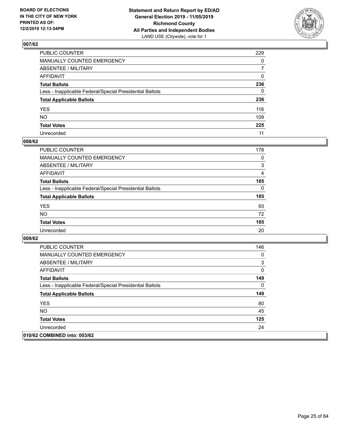

| PUBLIC COUNTER                                           | 229            |
|----------------------------------------------------------|----------------|
| MANUALLY COUNTED EMERGENCY                               | $\mathbf{0}$   |
| ABSENTEE / MILITARY                                      | $\overline{7}$ |
| AFFIDAVIT                                                | $\Omega$       |
| Total Ballots                                            | 236            |
| Less - Inapplicable Federal/Special Presidential Ballots | $\Omega$       |
| <b>Total Applicable Ballots</b>                          | 236            |
| YES                                                      | 116            |
| NΟ                                                       | 109            |
| <b>Total Votes</b>                                       | 225            |
| Unrecorded                                               | 11             |

#### **008/62**

| <b>PUBLIC COUNTER</b>                                    | 178      |
|----------------------------------------------------------|----------|
| <b>MANUALLY COUNTED EMERGENCY</b>                        | $\Omega$ |
| ABSENTEE / MILITARY                                      | 3        |
| AFFIDAVIT                                                | 4        |
| <b>Total Ballots</b>                                     | 185      |
| Less - Inapplicable Federal/Special Presidential Ballots | $\Omega$ |
| <b>Total Applicable Ballots</b>                          | 185      |
| <b>YES</b>                                               | 93       |
| <b>NO</b>                                                | 72       |
| <b>Total Votes</b>                                       | 165      |
| Unrecorded                                               | 20       |

| <b>PUBLIC COUNTER</b>                                    | 146 |
|----------------------------------------------------------|-----|
| <b>MANUALLY COUNTED EMERGENCY</b>                        | 0   |
| ABSENTEE / MILITARY                                      | 3   |
| AFFIDAVIT                                                | 0   |
| <b>Total Ballots</b>                                     | 149 |
| Less - Inapplicable Federal/Special Presidential Ballots | 0   |
| <b>Total Applicable Ballots</b>                          | 149 |
| <b>YES</b>                                               | 80  |
| NO.                                                      | 45  |
| <b>Total Votes</b>                                       | 125 |
| Unrecorded                                               | 24  |
| 010/62 COMBINED into: 003/62                             |     |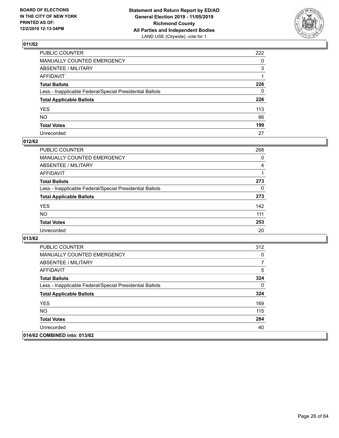

| PUBLIC COUNTER                                           | 222          |
|----------------------------------------------------------|--------------|
| MANUALLY COUNTED EMERGENCY                               | $\mathbf{0}$ |
| ABSENTEE / MILITARY                                      | 3            |
| AFFIDAVIT                                                |              |
| Total Ballots                                            | 226          |
| Less - Inapplicable Federal/Special Presidential Ballots | 0            |
| <b>Total Applicable Ballots</b>                          | 226          |
| YES                                                      | 113          |
| NΟ                                                       | 86           |
| <b>Total Votes</b>                                       | 199          |
| Unrecorded                                               | 27           |

## **012/62**

| <b>PUBLIC COUNTER</b>                                    | 268 |
|----------------------------------------------------------|-----|
| MANUALLY COUNTED EMERGENCY                               | 0   |
| ABSENTEE / MILITARY                                      | 4   |
| AFFIDAVIT                                                |     |
| <b>Total Ballots</b>                                     | 273 |
| Less - Inapplicable Federal/Special Presidential Ballots | 0   |
| <b>Total Applicable Ballots</b>                          | 273 |
| <b>YES</b>                                               | 142 |
| <b>NO</b>                                                | 111 |
| <b>Total Votes</b>                                       | 253 |
| Unrecorded                                               | 20  |

| <b>PUBLIC COUNTER</b>                                    | 312 |
|----------------------------------------------------------|-----|
| <b>MANUALLY COUNTED EMERGENCY</b>                        | 0   |
| ABSENTEE / MILITARY                                      | 7   |
| AFFIDAVIT                                                | 5   |
| <b>Total Ballots</b>                                     | 324 |
| Less - Inapplicable Federal/Special Presidential Ballots | 0   |
| <b>Total Applicable Ballots</b>                          | 324 |
| <b>YES</b>                                               | 169 |
| NO.                                                      | 115 |
| <b>Total Votes</b>                                       | 284 |
| Unrecorded                                               | 40  |
| 014/62 COMBINED into: 013/62                             |     |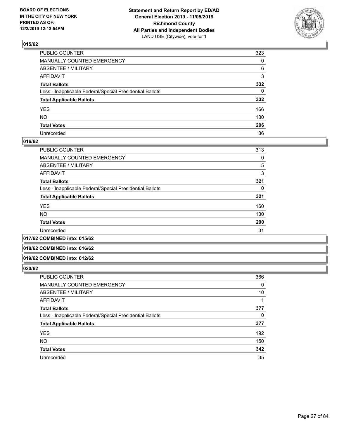

| PUBLIC COUNTER                                           | 323          |
|----------------------------------------------------------|--------------|
| MANUALLY COUNTED EMERGENCY                               | $\mathbf{0}$ |
| ABSENTEE / MILITARY                                      | 6            |
| AFFIDAVIT                                                | 3            |
| Total Ballots                                            | 332          |
| Less - Inapplicable Federal/Special Presidential Ballots | $\mathbf{0}$ |
| <b>Total Applicable Ballots</b>                          | 332          |
| YES                                                      | 166          |
| NO.                                                      | 130          |
| <b>Total Votes</b>                                       | 296          |
| Unrecorded                                               | 36           |

#### **016/62**

| <b>PUBLIC COUNTER</b>                                    | 313 |
|----------------------------------------------------------|-----|
| <b>MANUALLY COUNTED EMERGENCY</b>                        | 0   |
| ABSENTEE / MILITARY                                      | 5   |
| <b>AFFIDAVIT</b>                                         | 3   |
| <b>Total Ballots</b>                                     | 321 |
| Less - Inapplicable Federal/Special Presidential Ballots | 0   |
| <b>Total Applicable Ballots</b>                          | 321 |
| <b>YES</b>                                               | 160 |
| <b>NO</b>                                                | 130 |
| <b>Total Votes</b>                                       | 290 |
| Unrecorded                                               | 31  |
|                                                          |     |

#### **017/62 COMBINED into: 015/62**

#### **018/62 COMBINED into: 016/62**

#### **019/62 COMBINED into: 012/62**

| <b>PUBLIC COUNTER</b>                                    | 366 |
|----------------------------------------------------------|-----|
| MANUALLY COUNTED EMERGENCY                               | 0   |
| ABSENTEE / MILITARY                                      | 10  |
| AFFIDAVIT                                                |     |
| <b>Total Ballots</b>                                     | 377 |
| Less - Inapplicable Federal/Special Presidential Ballots | 0   |
| <b>Total Applicable Ballots</b>                          | 377 |
| <b>YES</b>                                               | 192 |
| <b>NO</b>                                                | 150 |
| <b>Total Votes</b>                                       | 342 |
| Unrecorded                                               | 35  |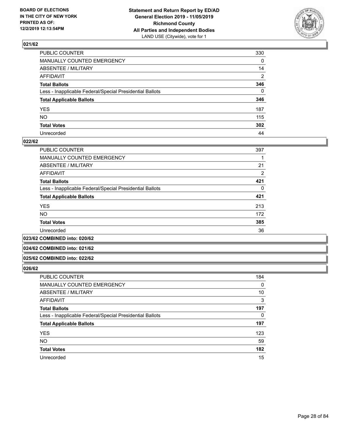

| PUBLIC COUNTER                                           | 330            |
|----------------------------------------------------------|----------------|
| MANUALLY COUNTED EMERGENCY                               | $\mathbf{0}$   |
| ABSENTEE / MILITARY                                      | 14             |
| AFFIDAVIT                                                | $\overline{2}$ |
| Total Ballots                                            | 346            |
| Less - Inapplicable Federal/Special Presidential Ballots | $\Omega$       |
| <b>Total Applicable Ballots</b>                          | 346            |
| YES                                                      | 187            |
| NO.                                                      | 115            |
| <b>Total Votes</b>                                       | 302            |
| Unrecorded                                               | 44             |

#### **022/62**

| <b>PUBLIC COUNTER</b>                                    | 397            |
|----------------------------------------------------------|----------------|
| <b>MANUALLY COUNTED EMERGENCY</b>                        |                |
| ABSENTEE / MILITARY                                      | 21             |
| AFFIDAVIT                                                | $\overline{2}$ |
| <b>Total Ballots</b>                                     | 421            |
| Less - Inapplicable Federal/Special Presidential Ballots | 0              |
| <b>Total Applicable Ballots</b>                          | 421            |
| <b>YES</b>                                               | 213            |
| <b>NO</b>                                                | 172            |
| <b>Total Votes</b>                                       | 385            |
| Unrecorded                                               | 36             |

**023/62 COMBINED into: 020/62**

#### **024/62 COMBINED into: 021/62**

#### **025/62 COMBINED into: 022/62**

| <b>PUBLIC COUNTER</b>                                    | 184      |
|----------------------------------------------------------|----------|
| <b>MANUALLY COUNTED EMERGENCY</b>                        | 0        |
| ABSENTEE / MILITARY                                      | 10       |
| AFFIDAVIT                                                | 3        |
| <b>Total Ballots</b>                                     | 197      |
| Less - Inapplicable Federal/Special Presidential Ballots | $\Omega$ |
| <b>Total Applicable Ballots</b>                          | 197      |
| <b>YES</b>                                               | 123      |
| <b>NO</b>                                                | 59       |
| <b>Total Votes</b>                                       | 182      |
| Unrecorded                                               | 15       |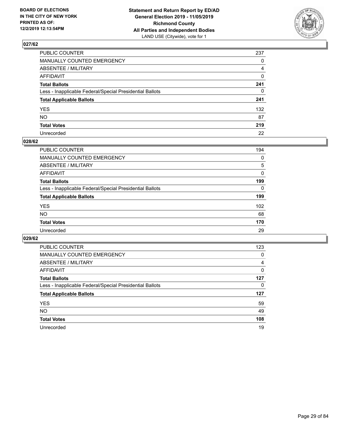

| PUBLIC COUNTER                                           | 237          |
|----------------------------------------------------------|--------------|
| MANUALLY COUNTED EMERGENCY                               | $\mathbf{0}$ |
| ABSENTEE / MILITARY                                      | 4            |
| AFFIDAVIT                                                | 0            |
| Total Ballots                                            | 241          |
| Less - Inapplicable Federal/Special Presidential Ballots | $\mathbf{0}$ |
| <b>Total Applicable Ballots</b>                          | 241          |
| YES                                                      | 132          |
| NO.                                                      | 87           |
| <b>Total Votes</b>                                       | 219          |
| Unrecorded                                               | 22           |

#### **028/62**

| PUBLIC COUNTER                                           | 194      |
|----------------------------------------------------------|----------|
| <b>MANUALLY COUNTED EMERGENCY</b>                        | 0        |
| ABSENTEE / MILITARY                                      | 5        |
| AFFIDAVIT                                                | $\Omega$ |
| <b>Total Ballots</b>                                     | 199      |
| Less - Inapplicable Federal/Special Presidential Ballots | 0        |
| <b>Total Applicable Ballots</b>                          | 199      |
| <b>YES</b>                                               | 102      |
| <b>NO</b>                                                | 68       |
| <b>Total Votes</b>                                       | 170      |
| Unrecorded                                               | 29       |

| <b>PUBLIC COUNTER</b>                                    | 123 |
|----------------------------------------------------------|-----|
| MANUALLY COUNTED EMERGENCY                               | 0   |
| ABSENTEE / MILITARY                                      | 4   |
| AFFIDAVIT                                                | 0   |
| <b>Total Ballots</b>                                     | 127 |
| Less - Inapplicable Federal/Special Presidential Ballots | 0   |
| <b>Total Applicable Ballots</b>                          | 127 |
| <b>YES</b>                                               | 59  |
| NO.                                                      | 49  |
| <b>Total Votes</b>                                       | 108 |
| Unrecorded                                               | 19  |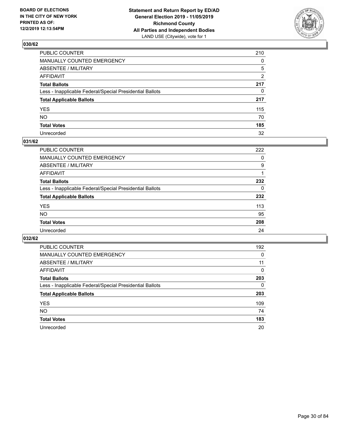

| PUBLIC COUNTER                                           | 210            |
|----------------------------------------------------------|----------------|
| MANUALLY COUNTED EMERGENCY                               | $\mathbf{0}$   |
| ABSENTEE / MILITARY                                      | 5              |
| AFFIDAVIT                                                | $\overline{2}$ |
| Total Ballots                                            | 217            |
| Less - Inapplicable Federal/Special Presidential Ballots | $\mathbf{0}$   |
| <b>Total Applicable Ballots</b>                          | 217            |
| YES                                                      | 115            |
| NΟ                                                       | 70             |
| <b>Total Votes</b>                                       | 185            |
| Unrecorded                                               | 32             |

#### **031/62**

| <b>PUBLIC COUNTER</b>                                    | 222      |
|----------------------------------------------------------|----------|
| MANUALLY COUNTED EMERGENCY                               | 0        |
| ABSENTEE / MILITARY                                      | 9        |
| AFFIDAVIT                                                |          |
| <b>Total Ballots</b>                                     | 232      |
| Less - Inapplicable Federal/Special Presidential Ballots | $\Omega$ |
| <b>Total Applicable Ballots</b>                          | 232      |
| <b>YES</b>                                               | 113      |
| <b>NO</b>                                                | 95       |
| <b>Total Votes</b>                                       | 208      |
| Unrecorded                                               | 24       |

| <b>PUBLIC COUNTER</b>                                    | 192      |
|----------------------------------------------------------|----------|
| <b>MANUALLY COUNTED EMERGENCY</b>                        | 0        |
| ABSENTEE / MILITARY                                      | 11       |
| AFFIDAVIT                                                | $\Omega$ |
| <b>Total Ballots</b>                                     | 203      |
| Less - Inapplicable Federal/Special Presidential Ballots | $\Omega$ |
| <b>Total Applicable Ballots</b>                          | 203      |
| <b>YES</b>                                               | 109      |
| NO.                                                      | 74       |
| <b>Total Votes</b>                                       | 183      |
| Unrecorded                                               | 20       |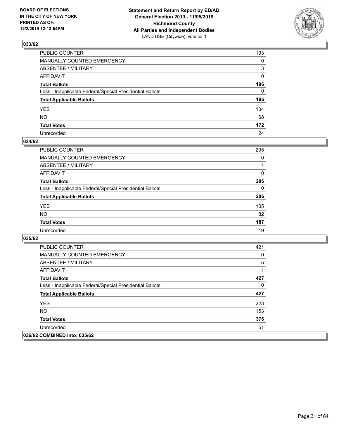

| PUBLIC COUNTER                                           | 193          |
|----------------------------------------------------------|--------------|
| MANUALLY COUNTED EMERGENCY                               | $\mathbf{0}$ |
| ABSENTEE / MILITARY                                      | 3            |
| AFFIDAVIT                                                | $\mathbf{0}$ |
| Total Ballots                                            | 196          |
| Less - Inapplicable Federal/Special Presidential Ballots | $\Omega$     |
| <b>Total Applicable Ballots</b>                          | 196          |
| YES                                                      | 104          |
| NO.                                                      | 68           |
| <b>Total Votes</b>                                       | 172          |
| Unrecorded                                               | 24           |

#### **034/62**

| <b>PUBLIC COUNTER</b>                                    | 205 |
|----------------------------------------------------------|-----|
| <b>MANUALLY COUNTED EMERGENCY</b>                        | 0   |
| ABSENTEE / MILITARY                                      |     |
| AFFIDAVIT                                                | 0   |
| <b>Total Ballots</b>                                     | 206 |
| Less - Inapplicable Federal/Special Presidential Ballots | 0   |
| <b>Total Applicable Ballots</b>                          | 206 |
| <b>YES</b>                                               | 105 |
| <b>NO</b>                                                | 82  |
| <b>Total Votes</b>                                       | 187 |
| Unrecorded                                               | 19  |

| <b>PUBLIC COUNTER</b>                                    | 421 |
|----------------------------------------------------------|-----|
| <b>MANUALLY COUNTED EMERGENCY</b>                        | 0   |
| ABSENTEE / MILITARY                                      | 5   |
| AFFIDAVIT                                                | 1   |
| <b>Total Ballots</b>                                     | 427 |
| Less - Inapplicable Federal/Special Presidential Ballots | 0   |
| <b>Total Applicable Ballots</b>                          | 427 |
| <b>YES</b>                                               | 223 |
| NO.                                                      | 153 |
| <b>Total Votes</b>                                       | 376 |
| Unrecorded                                               | 51  |
| 036/62 COMBINED into: 035/62                             |     |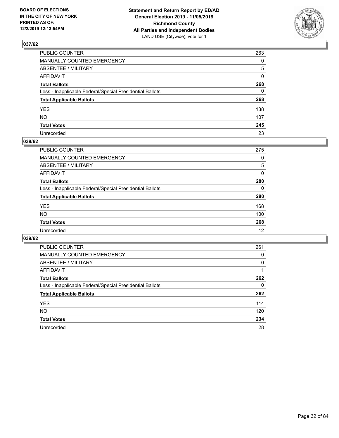

| PUBLIC COUNTER                                           | 263          |
|----------------------------------------------------------|--------------|
| MANUALLY COUNTED EMERGENCY                               | $\Omega$     |
| ABSENTEE / MILITARY                                      | 5            |
| AFFIDAVIT                                                | $\mathbf{0}$ |
| Total Ballots                                            | 268          |
| Less - Inapplicable Federal/Special Presidential Ballots | $\mathbf{0}$ |
| <b>Total Applicable Ballots</b>                          | 268          |
| YES                                                      | 138          |
| NO.                                                      | 107          |
| <b>Total Votes</b>                                       | 245          |
| Unrecorded                                               | 23           |

#### **038/62**

| <b>PUBLIC COUNTER</b>                                    | 275      |
|----------------------------------------------------------|----------|
| MANUALLY COUNTED EMERGENCY                               | 0        |
| ABSENTEE / MILITARY                                      | 5        |
| AFFIDAVIT                                                | $\Omega$ |
| <b>Total Ballots</b>                                     | 280      |
| Less - Inapplicable Federal/Special Presidential Ballots | $\Omega$ |
| <b>Total Applicable Ballots</b>                          | 280      |
| <b>YES</b>                                               | 168      |
| <b>NO</b>                                                | 100      |
| <b>Total Votes</b>                                       | 268      |
| Unrecorded                                               | 12       |

| <b>PUBLIC COUNTER</b>                                    | 261      |
|----------------------------------------------------------|----------|
| MANUALLY COUNTED EMERGENCY                               | 0        |
| ABSENTEE / MILITARY                                      | $\Omega$ |
| AFFIDAVIT                                                |          |
| <b>Total Ballots</b>                                     | 262      |
| Less - Inapplicable Federal/Special Presidential Ballots | 0        |
| <b>Total Applicable Ballots</b>                          | 262      |
| <b>YES</b>                                               | 114      |
| NO.                                                      | 120      |
| <b>Total Votes</b>                                       | 234      |
| Unrecorded                                               | 28       |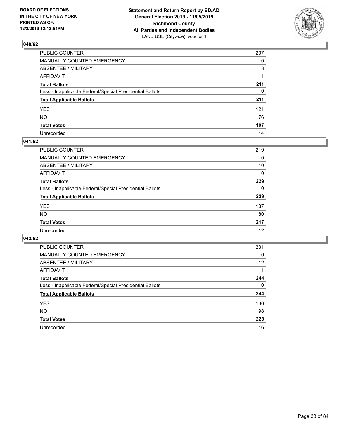

| PUBLIC COUNTER                                           | 207          |
|----------------------------------------------------------|--------------|
| MANUALLY COUNTED EMERGENCY                               | $\Omega$     |
| ABSENTEE / MILITARY                                      | 3            |
| AFFIDAVIT                                                |              |
| Total Ballots                                            | 211          |
| Less - Inapplicable Federal/Special Presidential Ballots | $\mathbf{0}$ |
| <b>Total Applicable Ballots</b>                          | 211          |
| YES                                                      | 121          |
| NO.                                                      | 76           |
| <b>Total Votes</b>                                       | 197          |
| Unrecorded                                               | 14           |

#### **041/62**

| <b>PUBLIC COUNTER</b>                                    | 219      |
|----------------------------------------------------------|----------|
| <b>MANUALLY COUNTED EMERGENCY</b>                        | 0        |
| ABSENTEE / MILITARY                                      | 10       |
| AFFIDAVIT                                                | $\Omega$ |
| <b>Total Ballots</b>                                     | 229      |
| Less - Inapplicable Federal/Special Presidential Ballots | $\Omega$ |
| <b>Total Applicable Ballots</b>                          | 229      |
| <b>YES</b>                                               | 137      |
| <b>NO</b>                                                | 80       |
| <b>Total Votes</b>                                       | 217      |
| Unrecorded                                               | 12       |

| <b>PUBLIC COUNTER</b>                                    | 231      |
|----------------------------------------------------------|----------|
| MANUALLY COUNTED EMERGENCY                               | 0        |
| ABSENTEE / MILITARY                                      | 12       |
| AFFIDAVIT                                                |          |
| <b>Total Ballots</b>                                     | 244      |
| Less - Inapplicable Federal/Special Presidential Ballots | $\Omega$ |
| <b>Total Applicable Ballots</b>                          | 244      |
| <b>YES</b>                                               | 130      |
| NO.                                                      | 98       |
| <b>Total Votes</b>                                       | 228      |
| Unrecorded                                               | 16       |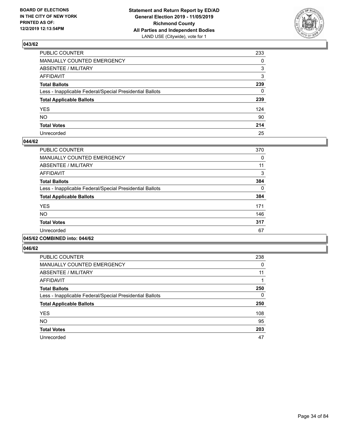

| PUBLIC COUNTER                                           | 233          |
|----------------------------------------------------------|--------------|
| MANUALLY COUNTED EMERGENCY                               | $\mathbf{0}$ |
| ABSENTEE / MILITARY                                      | 3            |
| AFFIDAVIT                                                | 3            |
| Total Ballots                                            | 239          |
| Less - Inapplicable Federal/Special Presidential Ballots | 0            |
| <b>Total Applicable Ballots</b>                          | 239          |
| YES                                                      | 124          |
| NO.                                                      | 90           |
| <b>Total Votes</b>                                       | 214          |
| Unrecorded                                               | 25           |

#### **044/62**

| <b>PUBLIC COUNTER</b>                                    | 370      |
|----------------------------------------------------------|----------|
| <b>MANUALLY COUNTED EMERGENCY</b>                        | 0        |
| ABSENTEE / MILITARY                                      | 11       |
| <b>AFFIDAVIT</b>                                         | 3        |
| <b>Total Ballots</b>                                     | 384      |
| Less - Inapplicable Federal/Special Presidential Ballots | $\Omega$ |
| <b>Total Applicable Ballots</b>                          | 384      |
| <b>YES</b>                                               | 171      |
| <b>NO</b>                                                | 146      |
| <b>Total Votes</b>                                       | 317      |
| Unrecorded                                               | 67       |
|                                                          |          |

#### **045/62 COMBINED into: 044/62**

| <b>PUBLIC COUNTER</b>                                    | 238 |
|----------------------------------------------------------|-----|
| <b>MANUALLY COUNTED EMERGENCY</b>                        | 0   |
| ABSENTEE / MILITARY                                      | 11  |
| AFFIDAVIT                                                |     |
| <b>Total Ballots</b>                                     | 250 |
| Less - Inapplicable Federal/Special Presidential Ballots | 0   |
| <b>Total Applicable Ballots</b>                          | 250 |
| <b>YES</b>                                               | 108 |
| <b>NO</b>                                                | 95  |
| <b>Total Votes</b>                                       | 203 |
| Unrecorded                                               | 47  |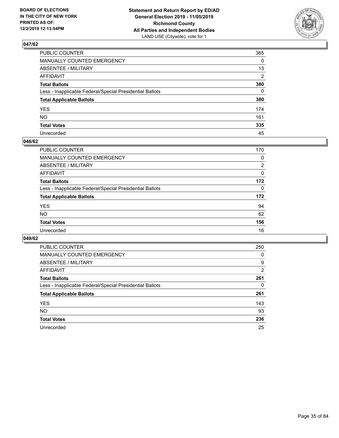

| PUBLIC COUNTER                                           | 365      |
|----------------------------------------------------------|----------|
| MANUALLY COUNTED EMERGENCY                               | $\Omega$ |
| ABSENTEE / MILITARY                                      | 13       |
| AFFIDAVIT                                                | 2        |
| Total Ballots                                            | 380      |
| Less - Inapplicable Federal/Special Presidential Ballots | 0        |
| <b>Total Applicable Ballots</b>                          | 380      |
| YES                                                      | 174      |
| NO.                                                      | 161      |
| <b>Total Votes</b>                                       | 335      |
| Unrecorded                                               | 45       |

#### **048/62**

| PUBLIC COUNTER                                           | 170      |
|----------------------------------------------------------|----------|
| MANUALLY COUNTED EMERGENCY                               | 0        |
| ABSENTEE / MILITARY                                      | 2        |
| AFFIDAVIT                                                | $\Omega$ |
| <b>Total Ballots</b>                                     | 172      |
| Less - Inapplicable Federal/Special Presidential Ballots | $\Omega$ |
| <b>Total Applicable Ballots</b>                          | 172      |
| <b>YES</b>                                               | 94       |
| <b>NO</b>                                                | 62       |
| <b>Total Votes</b>                                       | 156      |
| Unrecorded                                               | 16       |

| <b>PUBLIC COUNTER</b>                                    | 250      |
|----------------------------------------------------------|----------|
| MANUALLY COUNTED EMERGENCY                               | $\Omega$ |
| ABSENTEE / MILITARY                                      | 9        |
| AFFIDAVIT                                                | 2        |
| <b>Total Ballots</b>                                     | 261      |
| Less - Inapplicable Federal/Special Presidential Ballots | 0        |
| <b>Total Applicable Ballots</b>                          | 261      |
| <b>YES</b>                                               | 143      |
| NO.                                                      | 93       |
| <b>Total Votes</b>                                       | 236      |
| Unrecorded                                               | 25       |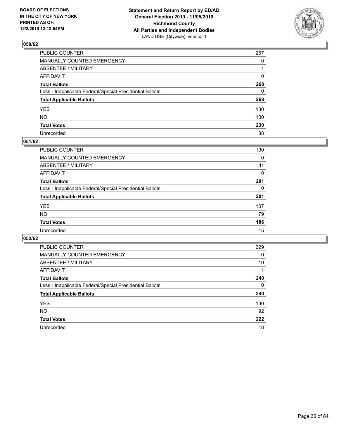

| PUBLIC COUNTER                                           | 267          |
|----------------------------------------------------------|--------------|
| MANUALLY COUNTED EMERGENCY                               | $\Omega$     |
| ABSENTEE / MILITARY                                      |              |
| AFFIDAVIT                                                | $\Omega$     |
| Total Ballots                                            | 268          |
| Less - Inapplicable Federal/Special Presidential Ballots | $\mathbf{0}$ |
| <b>Total Applicable Ballots</b>                          | 268          |
| YES                                                      | 130          |
| NO.                                                      | 100          |
| <b>Total Votes</b>                                       | 230          |
| Unrecorded                                               | 38           |

#### **051/62**

| <b>PUBLIC COUNTER</b>                                    | 190      |
|----------------------------------------------------------|----------|
| <b>MANUALLY COUNTED EMERGENCY</b>                        | 0        |
| ABSENTEE / MILITARY                                      | 11       |
| AFFIDAVIT                                                | $\Omega$ |
| <b>Total Ballots</b>                                     | 201      |
| Less - Inapplicable Federal/Special Presidential Ballots | $\Omega$ |
| <b>Total Applicable Ballots</b>                          | 201      |
| <b>YES</b>                                               | 107      |
| <b>NO</b>                                                | 79       |
| <b>Total Votes</b>                                       | 186      |
| Unrecorded                                               | 15       |

| <b>PUBLIC COUNTER</b>                                    | 229 |
|----------------------------------------------------------|-----|
| MANUALLY COUNTED EMERGENCY                               | 0   |
| ABSENTEE / MILITARY                                      | 10  |
| AFFIDAVIT                                                |     |
| <b>Total Ballots</b>                                     | 240 |
| Less - Inapplicable Federal/Special Presidential Ballots | 0   |
| <b>Total Applicable Ballots</b>                          | 240 |
| <b>YES</b>                                               | 130 |
| <b>NO</b>                                                | 92  |
| <b>Total Votes</b>                                       | 222 |
| Unrecorded                                               | 18  |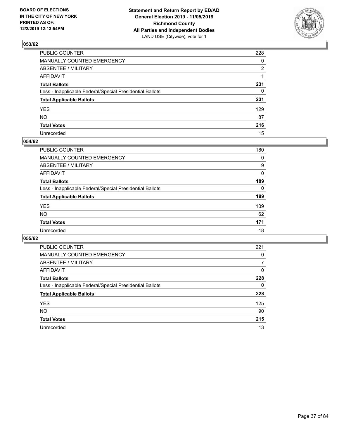

| PUBLIC COUNTER                                           | 228          |
|----------------------------------------------------------|--------------|
| MANUALLY COUNTED EMERGENCY                               | $\mathbf{0}$ |
| ABSENTEE / MILITARY                                      | 2            |
| AFFIDAVIT                                                |              |
| Total Ballots                                            | 231          |
| Less - Inapplicable Federal/Special Presidential Ballots | $\mathbf{0}$ |
| <b>Total Applicable Ballots</b>                          | 231          |
| YES                                                      | 129          |
| NO.                                                      | 87           |
| <b>Total Votes</b>                                       | 216          |
| Unrecorded                                               | 15           |

### **054/62**

| <b>PUBLIC COUNTER</b>                                    | 180      |
|----------------------------------------------------------|----------|
| <b>MANUALLY COUNTED EMERGENCY</b>                        | 0        |
| ABSENTEE / MILITARY                                      | 9        |
| AFFIDAVIT                                                | 0        |
| <b>Total Ballots</b>                                     | 189      |
| Less - Inapplicable Federal/Special Presidential Ballots | $\Omega$ |
| <b>Total Applicable Ballots</b>                          | 189      |
| <b>YES</b>                                               | 109      |
| <b>NO</b>                                                | 62       |
| <b>Total Votes</b>                                       | 171      |
| Unrecorded                                               | 18       |

| PUBLIC COUNTER                                           | 221      |
|----------------------------------------------------------|----------|
| <b>MANUALLY COUNTED EMERGENCY</b>                        | 0        |
| ABSENTEE / MILITARY                                      |          |
| AFFIDAVIT                                                | $\Omega$ |
| <b>Total Ballots</b>                                     | 228      |
| Less - Inapplicable Federal/Special Presidential Ballots | 0        |
| <b>Total Applicable Ballots</b>                          | 228      |
| <b>YES</b>                                               | 125      |
| <b>NO</b>                                                | 90       |
| <b>Total Votes</b>                                       | 215      |
| Unrecorded                                               | 13       |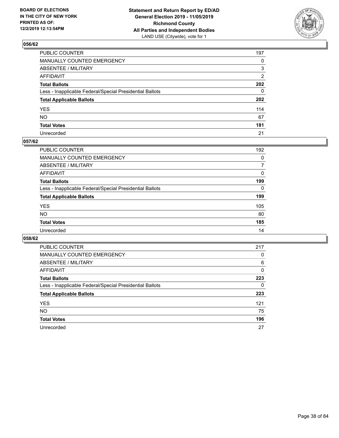

| PUBLIC COUNTER                                           | 197            |
|----------------------------------------------------------|----------------|
| MANUALLY COUNTED EMERGENCY                               | $\mathbf{0}$   |
| ABSENTEE / MILITARY                                      | 3              |
| AFFIDAVIT                                                | $\overline{2}$ |
| Total Ballots                                            | 202            |
| Less - Inapplicable Federal/Special Presidential Ballots | $\Omega$       |
| <b>Total Applicable Ballots</b>                          | 202            |
| YES                                                      | 114            |
| NΟ                                                       | 67             |
| <b>Total Votes</b>                                       | 181            |
| Unrecorded                                               | 21             |

### **057/62**

| <b>PUBLIC COUNTER</b>                                    | 192      |
|----------------------------------------------------------|----------|
| <b>MANUALLY COUNTED EMERGENCY</b>                        | 0        |
| ABSENTEE / MILITARY                                      | 7        |
| AFFIDAVIT                                                | $\Omega$ |
| <b>Total Ballots</b>                                     | 199      |
| Less - Inapplicable Federal/Special Presidential Ballots | $\Omega$ |
| <b>Total Applicable Ballots</b>                          | 199      |
| <b>YES</b>                                               | 105      |
| <b>NO</b>                                                | 80       |
| <b>Total Votes</b>                                       | 185      |
| Unrecorded                                               | 14       |

| PUBLIC COUNTER                                           | 217      |
|----------------------------------------------------------|----------|
| MANUALLY COUNTED EMERGENCY                               | 0        |
| ABSENTEE / MILITARY                                      | 6        |
| AFFIDAVIT                                                | $\Omega$ |
| <b>Total Ballots</b>                                     | 223      |
| Less - Inapplicable Federal/Special Presidential Ballots | 0        |
| <b>Total Applicable Ballots</b>                          | 223      |
| <b>YES</b>                                               | 121      |
| <b>NO</b>                                                | 75       |
| <b>Total Votes</b>                                       | 196      |
| Unrecorded                                               | 27       |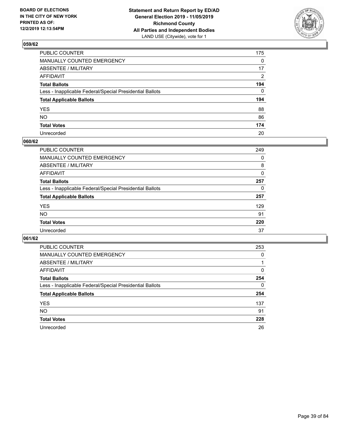

| PUBLIC COUNTER                                           | 175          |
|----------------------------------------------------------|--------------|
| MANUALLY COUNTED EMERGENCY                               | $\mathbf{0}$ |
| ABSENTEE / MILITARY                                      | 17           |
| AFFIDAVIT                                                | 2            |
| Total Ballots                                            | 194          |
| Less - Inapplicable Federal/Special Presidential Ballots | $\Omega$     |
| <b>Total Applicable Ballots</b>                          | 194          |
| YES                                                      | 88           |
| NO.                                                      | 86           |
| <b>Total Votes</b>                                       | 174          |
| Unrecorded                                               | 20           |

### **060/62**

| <b>PUBLIC COUNTER</b>                                    | 249 |
|----------------------------------------------------------|-----|
| MANUALLY COUNTED EMERGENCY                               | 0   |
| ABSENTEE / MILITARY                                      | 8   |
| AFFIDAVIT                                                | 0   |
| <b>Total Ballots</b>                                     | 257 |
| Less - Inapplicable Federal/Special Presidential Ballots | 0   |
| <b>Total Applicable Ballots</b>                          | 257 |
| <b>YES</b>                                               | 129 |
| <b>NO</b>                                                | 91  |
| <b>Total Votes</b>                                       | 220 |
| Unrecorded                                               | 37  |

| PUBLIC COUNTER                                           | 253      |
|----------------------------------------------------------|----------|
| MANUALLY COUNTED EMERGENCY                               | 0        |
| ABSENTEE / MILITARY                                      |          |
| AFFIDAVIT                                                | $\Omega$ |
| <b>Total Ballots</b>                                     | 254      |
| Less - Inapplicable Federal/Special Presidential Ballots | $\Omega$ |
| <b>Total Applicable Ballots</b>                          | 254      |
| <b>YES</b>                                               | 137      |
| <b>NO</b>                                                | 91       |
| <b>Total Votes</b>                                       | 228      |
| Unrecorded                                               | 26       |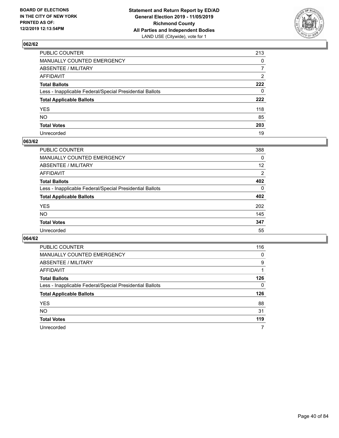

| PUBLIC COUNTER                                           | 213            |
|----------------------------------------------------------|----------------|
| MANUALLY COUNTED EMERGENCY                               | $\mathbf{0}$   |
| ABSENTEE / MILITARY                                      | $\overline{7}$ |
| AFFIDAVIT                                                | 2              |
| Total Ballots                                            | 222            |
| Less - Inapplicable Federal/Special Presidential Ballots | $\mathbf{0}$   |
| <b>Total Applicable Ballots</b>                          | 222            |
| YES                                                      | 118            |
| NΟ                                                       | 85             |
| <b>Total Votes</b>                                       | 203            |
| Unrecorded                                               | 19             |

### **063/62**

| PUBLIC COUNTER                                           | 388      |
|----------------------------------------------------------|----------|
| <b>MANUALLY COUNTED EMERGENCY</b>                        | 0        |
| <b>ABSENTEE / MILITARY</b>                               | 12       |
| AFFIDAVIT                                                | 2        |
| <b>Total Ballots</b>                                     | 402      |
| Less - Inapplicable Federal/Special Presidential Ballots | $\Omega$ |
| <b>Total Applicable Ballots</b>                          | 402      |
| <b>YES</b>                                               | 202      |
| <b>NO</b>                                                | 145      |
| <b>Total Votes</b>                                       | 347      |
| Unrecorded                                               | 55       |

| PUBLIC COUNTER                                           | 116      |
|----------------------------------------------------------|----------|
| MANUALLY COUNTED EMERGENCY                               | 0        |
| ABSENTEE / MILITARY                                      | 9        |
| AFFIDAVIT                                                |          |
| <b>Total Ballots</b>                                     | 126      |
| Less - Inapplicable Federal/Special Presidential Ballots | $\Omega$ |
| <b>Total Applicable Ballots</b>                          | 126      |
| <b>YES</b>                                               | 88       |
| <b>NO</b>                                                | 31       |
| <b>Total Votes</b>                                       | 119      |
| Unrecorded                                               | 7        |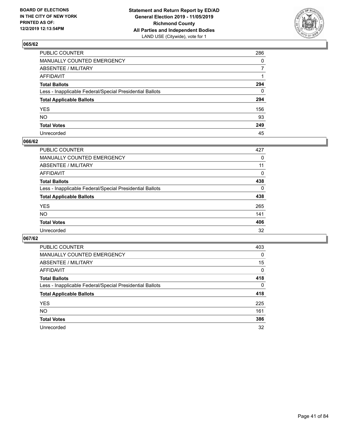

| PUBLIC COUNTER                                           | 286          |
|----------------------------------------------------------|--------------|
| MANUALLY COUNTED EMERGENCY                               | $\mathbf{0}$ |
| ABSENTEE / MILITARY                                      | 7            |
| AFFIDAVIT                                                |              |
| Total Ballots                                            | 294          |
| Less - Inapplicable Federal/Special Presidential Ballots | $\mathbf{0}$ |
| <b>Total Applicable Ballots</b>                          | 294          |
| YES                                                      | 156          |
| NO.                                                      | 93           |
| <b>Total Votes</b>                                       | 249          |
| Unrecorded                                               | 45           |

### **066/62**

| <b>PUBLIC COUNTER</b>                                    | 427      |
|----------------------------------------------------------|----------|
| <b>MANUALLY COUNTED EMERGENCY</b>                        | 0        |
| ABSENTEE / MILITARY                                      | 11       |
| AFFIDAVIT                                                | 0        |
| <b>Total Ballots</b>                                     | 438      |
| Less - Inapplicable Federal/Special Presidential Ballots | $\Omega$ |
| <b>Total Applicable Ballots</b>                          | 438      |
| <b>YES</b>                                               | 265      |
| <b>NO</b>                                                | 141      |
| <b>Total Votes</b>                                       | 406      |
| Unrecorded                                               | 32       |

| PUBLIC COUNTER                                           | 403      |
|----------------------------------------------------------|----------|
| MANUALLY COUNTED EMERGENCY                               | $\Omega$ |
| ABSENTEE / MILITARY                                      | 15       |
| AFFIDAVIT                                                | $\Omega$ |
| <b>Total Ballots</b>                                     | 418      |
| Less - Inapplicable Federal/Special Presidential Ballots | $\Omega$ |
| <b>Total Applicable Ballots</b>                          | 418      |
| <b>YES</b>                                               | 225      |
| NO.                                                      | 161      |
| <b>Total Votes</b>                                       | 386      |
| Unrecorded                                               | 32       |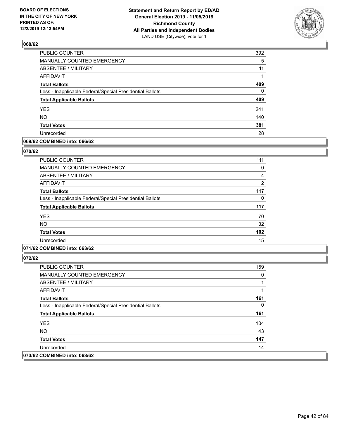

| PUBLIC COUNTER                                           | 392      |
|----------------------------------------------------------|----------|
| MANUALLY COUNTED EMERGENCY                               | 5        |
| <b>ABSENTEE / MILITARY</b>                               | 11       |
| <b>AFFIDAVIT</b>                                         | 1        |
| <b>Total Ballots</b>                                     | 409      |
| Less - Inapplicable Federal/Special Presidential Ballots | $\Omega$ |
| <b>Total Applicable Ballots</b>                          | 409      |
| <b>YES</b>                                               | 241      |
| <b>NO</b>                                                | 140      |
| <b>Total Votes</b>                                       | 381      |
| Unrecorded                                               | 28       |

### **069/62 COMBINED into: 066/62**

#### **070/62**

| <b>PUBLIC COUNTER</b>                                    | 111            |
|----------------------------------------------------------|----------------|
| <b>MANUALLY COUNTED EMERGENCY</b>                        | 0              |
| ABSENTEE / MILITARY                                      | 4              |
| AFFIDAVIT                                                | $\overline{2}$ |
| <b>Total Ballots</b>                                     | 117            |
| Less - Inapplicable Federal/Special Presidential Ballots | 0              |
| <b>Total Applicable Ballots</b>                          | 117            |
| <b>YES</b>                                               | 70             |
| <b>NO</b>                                                | 32             |
| <b>Total Votes</b>                                       | 102            |
| Unrecorded                                               | 15             |
|                                                          |                |

### **071/62 COMBINED into: 063/62**

| PUBLIC COUNTER                                           | 159 |
|----------------------------------------------------------|-----|
| <b>MANUALLY COUNTED EMERGENCY</b>                        | 0   |
| ABSENTEE / MILITARY                                      |     |
| AFFIDAVIT                                                |     |
| <b>Total Ballots</b>                                     | 161 |
| Less - Inapplicable Federal/Special Presidential Ballots | 0   |
| <b>Total Applicable Ballots</b>                          | 161 |
| <b>YES</b>                                               | 104 |
| NO.                                                      | 43  |
| <b>Total Votes</b>                                       | 147 |
| Unrecorded                                               | 14  |
| 073/62 COMBINED into: 068/62                             |     |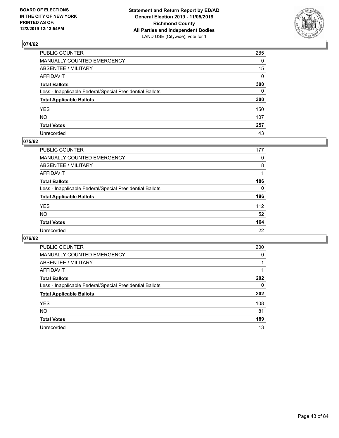

| PUBLIC COUNTER                                           | 285          |
|----------------------------------------------------------|--------------|
| MANUALLY COUNTED EMERGENCY                               | $\mathbf{0}$ |
| ABSENTEE / MILITARY                                      | 15           |
| AFFIDAVIT                                                | 0            |
| Total Ballots                                            | 300          |
| Less - Inapplicable Federal/Special Presidential Ballots | 0            |
| <b>Total Applicable Ballots</b>                          | 300          |
| YES                                                      | 150          |
| NO.                                                      | 107          |
| <b>Total Votes</b>                                       | 257          |
| Unrecorded                                               | 43           |

### **075/62**

| <b>PUBLIC COUNTER</b>                                    | 177      |
|----------------------------------------------------------|----------|
| <b>MANUALLY COUNTED EMERGENCY</b>                        | 0        |
| ABSENTEE / MILITARY                                      | 8        |
| AFFIDAVIT                                                |          |
| <b>Total Ballots</b>                                     | 186      |
| Less - Inapplicable Federal/Special Presidential Ballots | $\Omega$ |
| <b>Total Applicable Ballots</b>                          | 186      |
| <b>YES</b>                                               | 112      |
| <b>NO</b>                                                | 52       |
| <b>Total Votes</b>                                       | 164      |
| Unrecorded                                               | 22       |

| PUBLIC COUNTER                                           | 200 |
|----------------------------------------------------------|-----|
| MANUALLY COUNTED EMERGENCY                               | 0   |
| ABSENTEE / MILITARY                                      |     |
| AFFIDAVIT                                                |     |
| <b>Total Ballots</b>                                     | 202 |
| Less - Inapplicable Federal/Special Presidential Ballots | 0   |
| <b>Total Applicable Ballots</b>                          | 202 |
| <b>YES</b>                                               | 108 |
| <b>NO</b>                                                | 81  |
| <b>Total Votes</b>                                       | 189 |
| Unrecorded                                               | 13  |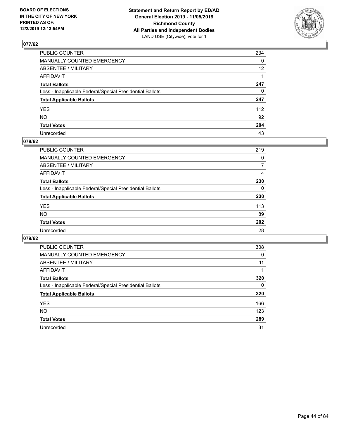

| PUBLIC COUNTER                                           | 234             |
|----------------------------------------------------------|-----------------|
| MANUALLY COUNTED EMERGENCY                               | $\mathbf{0}$    |
| ABSENTEE / MILITARY                                      | 12 <sup>2</sup> |
| AFFIDAVIT                                                |                 |
| Total Ballots                                            | 247             |
| Less - Inapplicable Federal/Special Presidential Ballots | $\mathbf{0}$    |
| <b>Total Applicable Ballots</b>                          | 247             |
| YES                                                      | 112             |
| NΟ                                                       | 92              |
| <b>Total Votes</b>                                       | 204             |
| Unrecorded                                               | 43              |

### **078/62**

| <b>PUBLIC COUNTER</b>                                    | 219 |
|----------------------------------------------------------|-----|
| MANUALLY COUNTED EMERGENCY                               | 0   |
| ABSENTEE / MILITARY                                      | 7   |
| AFFIDAVIT                                                | 4   |
| <b>Total Ballots</b>                                     | 230 |
| Less - Inapplicable Federal/Special Presidential Ballots | 0   |
| <b>Total Applicable Ballots</b>                          | 230 |
| <b>YES</b>                                               | 113 |
| <b>NO</b>                                                | 89  |
| <b>Total Votes</b>                                       | 202 |
| Unrecorded                                               | 28  |

| PUBLIC COUNTER                                           | 308      |
|----------------------------------------------------------|----------|
| MANUALLY COUNTED EMERGENCY                               | 0        |
| ABSENTEE / MILITARY                                      | 11       |
| AFFIDAVIT                                                |          |
| <b>Total Ballots</b>                                     | 320      |
| Less - Inapplicable Federal/Special Presidential Ballots | $\Omega$ |
| <b>Total Applicable Ballots</b>                          | 320      |
| <b>YES</b>                                               | 166      |
| <b>NO</b>                                                | 123      |
| <b>Total Votes</b>                                       | 289      |
| Unrecorded                                               | 31       |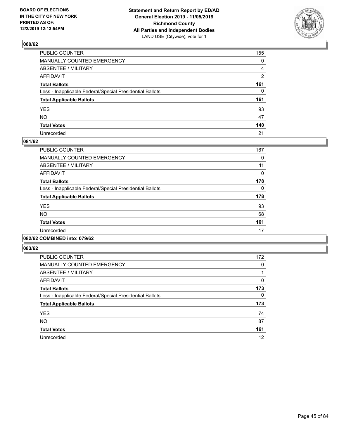

| PUBLIC COUNTER                                           | 155            |
|----------------------------------------------------------|----------------|
| MANUALLY COUNTED EMERGENCY                               | $\mathbf{0}$   |
| ABSENTEE / MILITARY                                      | 4              |
| AFFIDAVIT                                                | $\overline{2}$ |
| Total Ballots                                            | 161            |
| Less - Inapplicable Federal/Special Presidential Ballots | $\mathbf{0}$   |
| <b>Total Applicable Ballots</b>                          | 161            |
| YES                                                      | 93             |
| NO.                                                      | 47             |
| <b>Total Votes</b>                                       | 140            |
| Unrecorded                                               | 21             |

### **081/62**

| PUBLIC COUNTER                                           | 167      |
|----------------------------------------------------------|----------|
| <b>MANUALLY COUNTED EMERGENCY</b>                        | 0        |
| ABSENTEE / MILITARY                                      | 11       |
| <b>AFFIDAVIT</b>                                         | 0        |
| <b>Total Ballots</b>                                     | 178      |
| Less - Inapplicable Federal/Special Presidential Ballots | $\Omega$ |
| <b>Total Applicable Ballots</b>                          | 178      |
| <b>YES</b>                                               | 93       |
| <b>NO</b>                                                | 68       |
| <b>Total Votes</b>                                       | 161      |
| Unrecorded                                               | 17       |
|                                                          |          |

#### **082/62 COMBINED into: 079/62**

| <b>PUBLIC COUNTER</b>                                    | 172 |
|----------------------------------------------------------|-----|
| <b>MANUALLY COUNTED EMERGENCY</b>                        | 0   |
| ABSENTEE / MILITARY                                      |     |
| <b>AFFIDAVIT</b>                                         | 0   |
| <b>Total Ballots</b>                                     | 173 |
| Less - Inapplicable Federal/Special Presidential Ballots | 0   |
| <b>Total Applicable Ballots</b>                          | 173 |
| <b>YES</b>                                               | 74  |
| <b>NO</b>                                                | 87  |
| <b>Total Votes</b>                                       | 161 |
| Unrecorded                                               | 12  |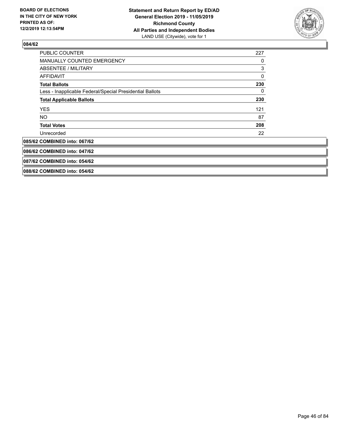

| <b>PUBLIC COUNTER</b>                                    | 227 |
|----------------------------------------------------------|-----|
| <b>MANUALLY COUNTED EMERGENCY</b>                        | 0   |
| ABSENTEE / MILITARY                                      | 3   |
| AFFIDAVIT                                                | 0   |
| <b>Total Ballots</b>                                     | 230 |
| Less - Inapplicable Federal/Special Presidential Ballots | 0   |
| <b>Total Applicable Ballots</b>                          | 230 |
| <b>YES</b>                                               | 121 |
| NO.                                                      | 87  |
| <b>Total Votes</b>                                       | 208 |
| Unrecorded                                               | 22  |
| 085/62 COMBINED into: 067/62                             |     |
| 086/62 COMBINED into: 047/62                             |     |
| 087/62 COMBINED into: 054/62                             |     |
| 088/62 COMBINED into: 054/62                             |     |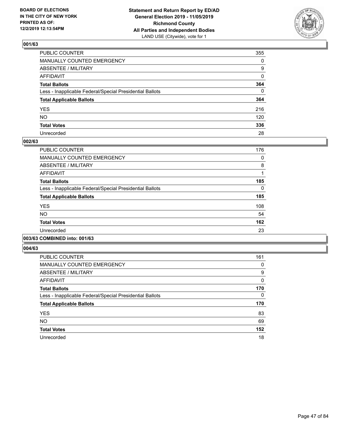

| PUBLIC COUNTER                                           | 355          |
|----------------------------------------------------------|--------------|
| MANUALLY COUNTED EMERGENCY                               | $\mathbf{0}$ |
| ABSENTEE / MILITARY                                      | 9            |
| AFFIDAVIT                                                | $\Omega$     |
| Total Ballots                                            | 364          |
| Less - Inapplicable Federal/Special Presidential Ballots | $\Omega$     |
| <b>Total Applicable Ballots</b>                          | 364          |
| YES                                                      | 216          |
| NO.                                                      | 120          |
| <b>Total Votes</b>                                       | 336          |
| Unrecorded                                               | 28           |

### **002/63**

| <b>PUBLIC COUNTER</b>                                    | 176      |
|----------------------------------------------------------|----------|
| <b>MANUALLY COUNTED EMERGENCY</b>                        | 0        |
| ABSENTEE / MILITARY                                      | 8        |
| <b>AFFIDAVIT</b>                                         |          |
| <b>Total Ballots</b>                                     | 185      |
| Less - Inapplicable Federal/Special Presidential Ballots | $\Omega$ |
| <b>Total Applicable Ballots</b>                          | 185      |
| <b>YES</b>                                               | 108      |
| <b>NO</b>                                                | 54       |
| <b>Total Votes</b>                                       | 162      |
| Unrecorded                                               | 23       |
|                                                          |          |

### **003/63 COMBINED into: 001/63**

| <b>PUBLIC COUNTER</b>                                    | 161          |
|----------------------------------------------------------|--------------|
| <b>MANUALLY COUNTED EMERGENCY</b>                        | 0            |
| ABSENTEE / MILITARY                                      | 9            |
| <b>AFFIDAVIT</b>                                         | $\mathbf{0}$ |
| <b>Total Ballots</b>                                     | 170          |
| Less - Inapplicable Federal/Special Presidential Ballots | 0            |
| <b>Total Applicable Ballots</b>                          | 170          |
| <b>YES</b>                                               | 83           |
| <b>NO</b>                                                | 69           |
| <b>Total Votes</b>                                       | 152          |
| Unrecorded                                               | 18           |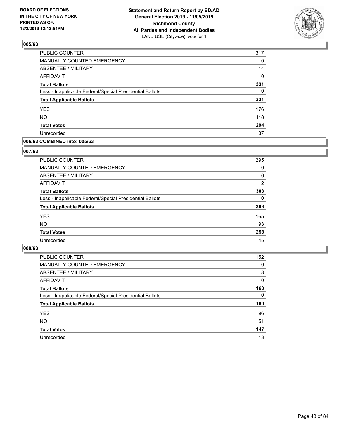

| PUBLIC COUNTER                                           | 317      |
|----------------------------------------------------------|----------|
| MANUALLY COUNTED EMERGENCY                               | 0        |
| <b>ABSENTEE / MILITARY</b>                               | 14       |
| <b>AFFIDAVIT</b>                                         | 0        |
| <b>Total Ballots</b>                                     | 331      |
| Less - Inapplicable Federal/Special Presidential Ballots | $\Omega$ |
| <b>Total Applicable Ballots</b>                          | 331      |
| <b>YES</b>                                               | 176      |
| <b>NO</b>                                                | 118      |
| <b>Total Votes</b>                                       | 294      |
| Unrecorded                                               | 37       |

### **006/63 COMBINED into: 005/63**

#### **007/63**

| PUBLIC COUNTER                                           | 295      |
|----------------------------------------------------------|----------|
| MANUALLY COUNTED EMERGENCY                               | 0        |
| ABSENTEE / MILITARY                                      | 6        |
| AFFIDAVIT                                                | 2        |
| <b>Total Ballots</b>                                     | 303      |
| Less - Inapplicable Federal/Special Presidential Ballots | $\Omega$ |
| <b>Total Applicable Ballots</b>                          | 303      |
| <b>YES</b>                                               | 165      |
| <b>NO</b>                                                | 93       |
| <b>Total Votes</b>                                       | 258      |
| Unrecorded                                               | 45       |

| <b>PUBLIC COUNTER</b>                                    | 152      |
|----------------------------------------------------------|----------|
| MANUALLY COUNTED EMERGENCY                               | $\Omega$ |
| ABSENTEE / MILITARY                                      | 8        |
| AFFIDAVIT                                                | $\Omega$ |
| <b>Total Ballots</b>                                     | 160      |
| Less - Inapplicable Federal/Special Presidential Ballots | 0        |
| <b>Total Applicable Ballots</b>                          | 160      |
| <b>YES</b>                                               | 96       |
| <b>NO</b>                                                | 51       |
| <b>Total Votes</b>                                       | 147      |
| Unrecorded                                               | 13       |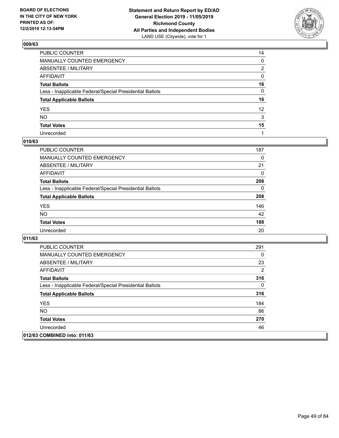

| PUBLIC COUNTER                                           | 14              |
|----------------------------------------------------------|-----------------|
| MANUALLY COUNTED EMERGENCY                               | 0               |
| ABSENTEE / MILITARY                                      | 2               |
| AFFIDAVIT                                                | 0               |
| Total Ballots                                            | 16              |
| Less - Inapplicable Federal/Special Presidential Ballots | 0               |
| <b>Total Applicable Ballots</b>                          | 16              |
| YES                                                      | 12 <sup>2</sup> |
| NO.                                                      | 3               |
| <b>Total Votes</b>                                       | 15              |
| Unrecorded                                               |                 |

## **010/63**

| <b>PUBLIC COUNTER</b>                                    | 187      |
|----------------------------------------------------------|----------|
| MANUALLY COUNTED EMERGENCY                               | 0        |
| ABSENTEE / MILITARY                                      | 21       |
| AFFIDAVIT                                                | 0        |
| <b>Total Ballots</b>                                     | 208      |
| Less - Inapplicable Federal/Special Presidential Ballots | $\Omega$ |
| <b>Total Applicable Ballots</b>                          | 208      |
| <b>YES</b>                                               | 146      |
| <b>NO</b>                                                | 42       |
| <b>Total Votes</b>                                       | 188      |
| Unrecorded                                               | 20       |

| <b>PUBLIC COUNTER</b>                                    | 291          |
|----------------------------------------------------------|--------------|
| <b>MANUALLY COUNTED EMERGENCY</b>                        | $\Omega$     |
| ABSENTEE / MILITARY                                      | 23           |
| AFFIDAVIT                                                | 2            |
| <b>Total Ballots</b>                                     | 316          |
| Less - Inapplicable Federal/Special Presidential Ballots | $\mathbf{0}$ |
| <b>Total Applicable Ballots</b>                          | 316          |
| <b>YES</b>                                               | 184          |
| NO.                                                      | 86           |
| <b>Total Votes</b>                                       | 270          |
| Unrecorded                                               | 46           |
| 012/63 COMBINED into: 011/63                             |              |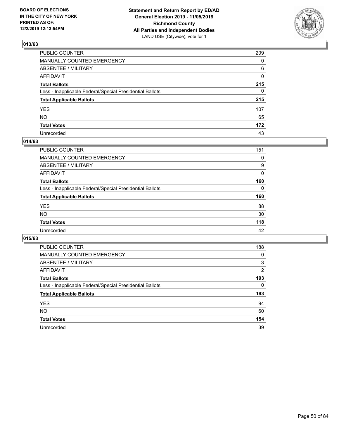

| PUBLIC COUNTER                                           | 209          |
|----------------------------------------------------------|--------------|
| MANUALLY COUNTED EMERGENCY                               | $\mathbf{0}$ |
| ABSENTEE / MILITARY                                      | 6            |
| AFFIDAVIT                                                | 0            |
| Total Ballots                                            | 215          |
| Less - Inapplicable Federal/Special Presidential Ballots | 0            |
| <b>Total Applicable Ballots</b>                          | 215          |
| YES                                                      | 107          |
| NO.                                                      | 65           |
| <b>Total Votes</b>                                       | 172          |
| Unrecorded                                               | 43           |

### **014/63**

| <b>PUBLIC COUNTER</b>                                    | 151      |
|----------------------------------------------------------|----------|
| <b>MANUALLY COUNTED EMERGENCY</b>                        | 0        |
| ABSENTEE / MILITARY                                      | 9        |
| AFFIDAVIT                                                | 0        |
| <b>Total Ballots</b>                                     | 160      |
| Less - Inapplicable Federal/Special Presidential Ballots | $\Omega$ |
| <b>Total Applicable Ballots</b>                          | 160      |
| <b>YES</b>                                               | 88       |
| <b>NO</b>                                                | 30       |
| <b>Total Votes</b>                                       | 118      |
| Unrecorded                                               | 42       |

| PUBLIC COUNTER                                           | 188            |
|----------------------------------------------------------|----------------|
| MANUALLY COUNTED EMERGENCY                               | 0              |
| ABSENTEE / MILITARY                                      | 3              |
| AFFIDAVIT                                                | $\overline{2}$ |
| <b>Total Ballots</b>                                     | 193            |
| Less - Inapplicable Federal/Special Presidential Ballots | 0              |
| <b>Total Applicable Ballots</b>                          | 193            |
| <b>YES</b>                                               | 94             |
| NO.                                                      | 60             |
| <b>Total Votes</b>                                       | 154            |
|                                                          |                |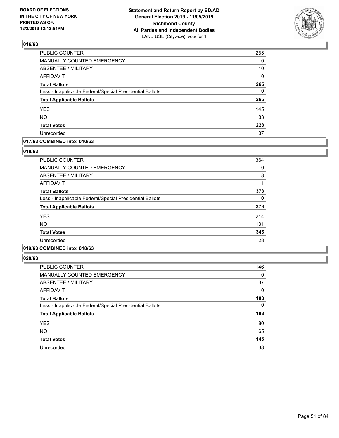

| PUBLIC COUNTER                                           | 255      |
|----------------------------------------------------------|----------|
| MANUALLY COUNTED EMERGENCY                               | 0        |
| <b>ABSENTEE / MILITARY</b>                               | 10       |
| <b>AFFIDAVIT</b>                                         | 0        |
| <b>Total Ballots</b>                                     | 265      |
| Less - Inapplicable Federal/Special Presidential Ballots | $\Omega$ |
| <b>Total Applicable Ballots</b>                          | 265      |
| <b>YES</b>                                               | 145      |
| <b>NO</b>                                                | 83       |
| <b>Total Votes</b>                                       | 228      |
| Unrecorded                                               | 37       |

### **017/63 COMBINED into: 010/63**

### **018/63**

| <b>PUBLIC COUNTER</b>                                    | 364 |
|----------------------------------------------------------|-----|
| <b>MANUALLY COUNTED EMERGENCY</b>                        | 0   |
| ABSENTEE / MILITARY                                      | 8   |
| <b>AFFIDAVIT</b>                                         |     |
| <b>Total Ballots</b>                                     | 373 |
| Less - Inapplicable Federal/Special Presidential Ballots | 0   |
| <b>Total Applicable Ballots</b>                          | 373 |
| <b>YES</b>                                               | 214 |
| <b>NO</b>                                                | 131 |
| <b>Total Votes</b>                                       | 345 |
| Unrecorded                                               | 28  |
|                                                          |     |

### **019/63 COMBINED into: 018/63**

| PUBLIC COUNTER                                           | 146      |
|----------------------------------------------------------|----------|
| <b>MANUALLY COUNTED EMERGENCY</b>                        | 0        |
| ABSENTEE / MILITARY                                      | 37       |
| AFFIDAVIT                                                | 0        |
| <b>Total Ballots</b>                                     | 183      |
| Less - Inapplicable Federal/Special Presidential Ballots | $\Omega$ |
| <b>Total Applicable Ballots</b>                          | 183      |
| <b>YES</b>                                               | 80       |
| <b>NO</b>                                                | 65       |
| <b>Total Votes</b>                                       | 145      |
| Unrecorded                                               | 38       |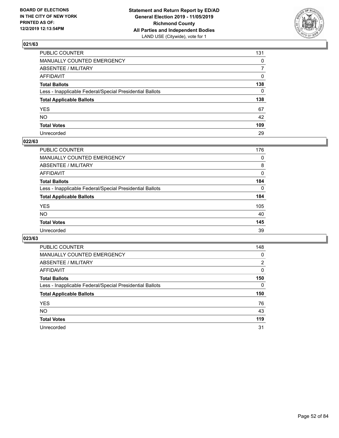

| PUBLIC COUNTER                                           | 131            |
|----------------------------------------------------------|----------------|
| MANUALLY COUNTED EMERGENCY                               | $\mathbf{0}$   |
| ABSENTEE / MILITARY                                      | $\overline{7}$ |
| AFFIDAVIT                                                | 0              |
| Total Ballots                                            | 138            |
| Less - Inapplicable Federal/Special Presidential Ballots | $\mathbf{0}$   |
| <b>Total Applicable Ballots</b>                          | 138            |
| YES                                                      | 67             |
| NO.                                                      | 42             |
| <b>Total Votes</b>                                       | 109            |
| Unrecorded                                               | 29             |

### **022/63**

| PUBLIC COUNTER                                           | 176      |
|----------------------------------------------------------|----------|
| MANUALLY COUNTED EMERGENCY                               | 0        |
| ABSENTEE / MILITARY                                      | 8        |
| AFFIDAVIT                                                | $\Omega$ |
| <b>Total Ballots</b>                                     | 184      |
| Less - Inapplicable Federal/Special Presidential Ballots | $\Omega$ |
| <b>Total Applicable Ballots</b>                          | 184      |
| <b>YES</b>                                               | 105      |
| <b>NO</b>                                                | 40       |
| <b>Total Votes</b>                                       | 145      |
| Unrecorded                                               | 39       |

| PUBLIC COUNTER                                           | 148            |
|----------------------------------------------------------|----------------|
| MANUALLY COUNTED EMERGENCY                               | 0              |
| ABSENTEE / MILITARY                                      | $\overline{2}$ |
| AFFIDAVIT                                                | $\Omega$       |
| <b>Total Ballots</b>                                     | 150            |
| Less - Inapplicable Federal/Special Presidential Ballots | $\Omega$       |
| <b>Total Applicable Ballots</b>                          | 150            |
| <b>YES</b>                                               | 76             |
| <b>NO</b>                                                | 43             |
| <b>Total Votes</b>                                       | 119            |
|                                                          |                |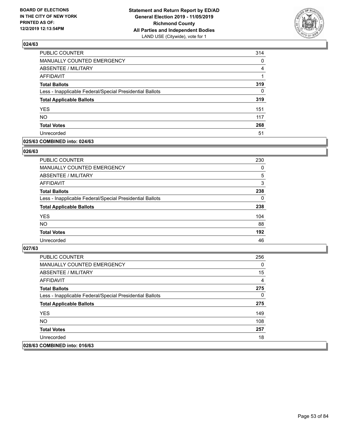

| PUBLIC COUNTER                                           | 314      |
|----------------------------------------------------------|----------|
| <b>MANUALLY COUNTED EMERGENCY</b>                        | 0        |
| <b>ABSENTEE / MILITARY</b>                               | 4        |
| <b>AFFIDAVIT</b>                                         |          |
| <b>Total Ballots</b>                                     | 319      |
| Less - Inapplicable Federal/Special Presidential Ballots | $\Omega$ |
| <b>Total Applicable Ballots</b>                          | 319      |
| <b>YES</b>                                               | 151      |
| <b>NO</b>                                                | 117      |
| <b>Total Votes</b>                                       | 268      |
| Unrecorded                                               | 51       |

### **025/63 COMBINED into: 024/63**

#### **026/63**

| <b>PUBLIC COUNTER</b>                                    | 230      |
|----------------------------------------------------------|----------|
| <b>MANUALLY COUNTED EMERGENCY</b>                        | 0        |
| ABSENTEE / MILITARY                                      | 5        |
| AFFIDAVIT                                                | 3        |
| <b>Total Ballots</b>                                     | 238      |
| Less - Inapplicable Federal/Special Presidential Ballots | $\Omega$ |
| <b>Total Applicable Ballots</b>                          | 238      |
| <b>YES</b>                                               | 104      |
| <b>NO</b>                                                | 88       |
| <b>Total Votes</b>                                       | 192      |
| Unrecorded                                               | 46       |

| <b>PUBLIC COUNTER</b>                                    | 256 |
|----------------------------------------------------------|-----|
| MANUALLY COUNTED EMERGENCY                               | 0   |
| ABSENTEE / MILITARY                                      | 15  |
| AFFIDAVIT                                                | 4   |
| <b>Total Ballots</b>                                     | 275 |
| Less - Inapplicable Federal/Special Presidential Ballots | 0   |
| <b>Total Applicable Ballots</b>                          | 275 |
| <b>YES</b>                                               | 149 |
| NO.                                                      | 108 |
| <b>Total Votes</b>                                       | 257 |
| Unrecorded                                               | 18  |
| 028/63 COMBINED into: 016/63                             |     |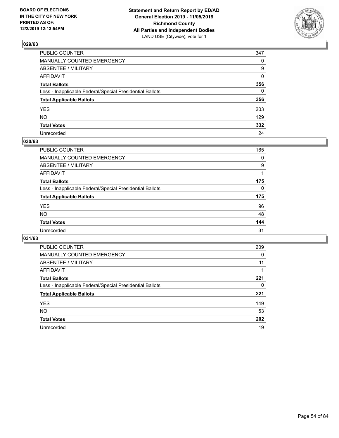

| PUBLIC COUNTER                                           | 347      |
|----------------------------------------------------------|----------|
| MANUALLY COUNTED EMERGENCY                               | $\Omega$ |
| ABSENTEE / MILITARY                                      | 9        |
| AFFIDAVIT                                                | $\Omega$ |
| Total Ballots                                            | 356      |
| Less - Inapplicable Federal/Special Presidential Ballots | $\Omega$ |
| <b>Total Applicable Ballots</b>                          | 356      |
| YES                                                      | 203      |
| NO.                                                      | 129      |
| <b>Total Votes</b>                                       | 332      |
| Unrecorded                                               | 24       |

### **030/63**

| PUBLIC COUNTER                                           | 165 |
|----------------------------------------------------------|-----|
| <b>MANUALLY COUNTED EMERGENCY</b>                        | 0   |
| ABSENTEE / MILITARY                                      | 9   |
| AFFIDAVIT                                                |     |
| <b>Total Ballots</b>                                     | 175 |
| Less - Inapplicable Federal/Special Presidential Ballots | 0   |
| <b>Total Applicable Ballots</b>                          | 175 |
| <b>YES</b>                                               | 96  |
| <b>NO</b>                                                | 48  |
| <b>Total Votes</b>                                       | 144 |
| Unrecorded                                               | 31  |

| PUBLIC COUNTER                                           | 209 |
|----------------------------------------------------------|-----|
| MANUALLY COUNTED EMERGENCY                               | 0   |
| ABSENTEE / MILITARY                                      | 11  |
| AFFIDAVIT                                                |     |
| <b>Total Ballots</b>                                     | 221 |
| Less - Inapplicable Federal/Special Presidential Ballots | 0   |
| <b>Total Applicable Ballots</b>                          | 221 |
| <b>YES</b>                                               | 149 |
| NO.                                                      | 53  |
| <b>Total Votes</b>                                       | 202 |
| Unrecorded                                               | 19  |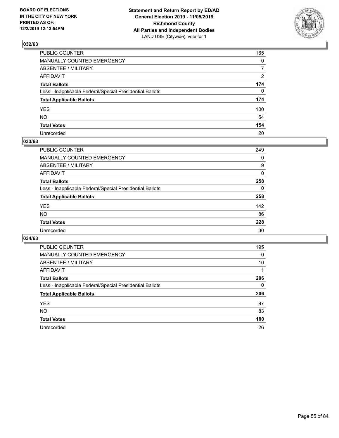

| PUBLIC COUNTER                                           | 165            |
|----------------------------------------------------------|----------------|
| MANUALLY COUNTED EMERGENCY                               | $\mathbf{0}$   |
| ABSENTEE / MILITARY                                      | $\overline{7}$ |
| AFFIDAVIT                                                | 2              |
| Total Ballots                                            | 174            |
| Less - Inapplicable Federal/Special Presidential Ballots | $\Omega$       |
| <b>Total Applicable Ballots</b>                          | 174            |
| YES                                                      | 100            |
| NO.                                                      | 54             |
| <b>Total Votes</b>                                       | 154            |
| Unrecorded                                               | 20             |

### **033/63**

| <b>PUBLIC COUNTER</b>                                    | 249      |
|----------------------------------------------------------|----------|
| MANUALLY COUNTED EMERGENCY                               | 0        |
| ABSENTEE / MILITARY                                      | 9        |
| AFFIDAVIT                                                | $\Omega$ |
| <b>Total Ballots</b>                                     | 258      |
| Less - Inapplicable Federal/Special Presidential Ballots | $\Omega$ |
| <b>Total Applicable Ballots</b>                          | 258      |
| <b>YES</b>                                               | 142      |
| <b>NO</b>                                                | 86       |
| <b>Total Votes</b>                                       | 228      |
| Unrecorded                                               | 30       |

| PUBLIC COUNTER                                           | 195 |
|----------------------------------------------------------|-----|
| MANUALLY COUNTED EMERGENCY                               | 0   |
| ABSENTEE / MILITARY                                      | 10  |
| AFFIDAVIT                                                |     |
| <b>Total Ballots</b>                                     | 206 |
| Less - Inapplicable Federal/Special Presidential Ballots | 0   |
| <b>Total Applicable Ballots</b>                          | 206 |
| <b>YES</b>                                               | 97  |
| NO.                                                      | 83  |
|                                                          |     |
| <b>Total Votes</b>                                       | 180 |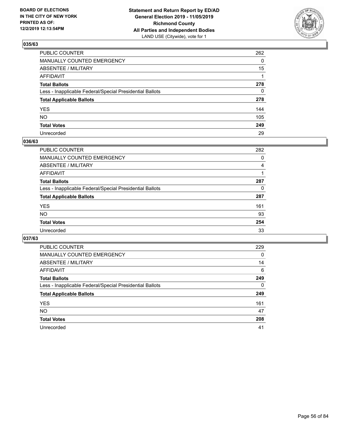

| PUBLIC COUNTER                                           | 262          |
|----------------------------------------------------------|--------------|
| MANUALLY COUNTED EMERGENCY                               | $\mathbf{0}$ |
| ABSENTEE / MILITARY                                      | 15           |
| AFFIDAVIT                                                |              |
| Total Ballots                                            | 278          |
| Less - Inapplicable Federal/Special Presidential Ballots | $\mathbf{0}$ |
| <b>Total Applicable Ballots</b>                          | 278          |
| YES                                                      | 144          |
| NO.                                                      | 105          |
| <b>Total Votes</b>                                       | 249          |
| Unrecorded                                               | 29           |

### **036/63**

| <b>PUBLIC COUNTER</b>                                    | 282      |
|----------------------------------------------------------|----------|
| MANUALLY COUNTED EMERGENCY                               | 0        |
| ABSENTEE / MILITARY                                      | 4        |
| AFFIDAVIT                                                |          |
| <b>Total Ballots</b>                                     | 287      |
| Less - Inapplicable Federal/Special Presidential Ballots | $\Omega$ |
| <b>Total Applicable Ballots</b>                          | 287      |
| <b>YES</b>                                               | 161      |
| <b>NO</b>                                                | 93       |
| <b>Total Votes</b>                                       | 254      |
| Unrecorded                                               | 33       |

| PUBLIC COUNTER                                           | 229      |
|----------------------------------------------------------|----------|
| <b>MANUALLY COUNTED EMERGENCY</b>                        | 0        |
| ABSENTEE / MILITARY                                      | 14       |
| AFFIDAVIT                                                | 6        |
| <b>Total Ballots</b>                                     | 249      |
| Less - Inapplicable Federal/Special Presidential Ballots | $\Omega$ |
| <b>Total Applicable Ballots</b>                          | 249      |
| <b>YES</b>                                               | 161      |
| <b>NO</b>                                                | 47       |
| <b>Total Votes</b>                                       | 208      |
| Unrecorded                                               | 41       |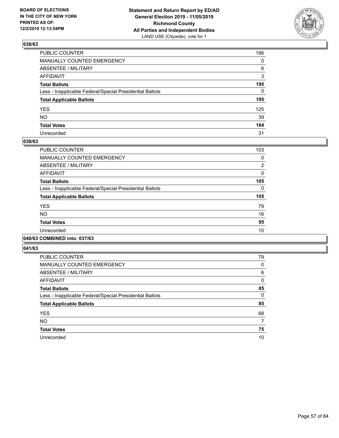

| PUBLIC COUNTER                                           | 186          |
|----------------------------------------------------------|--------------|
| MANUALLY COUNTED EMERGENCY                               | $\mathbf{0}$ |
| ABSENTEE / MILITARY                                      | 6            |
| AFFIDAVIT                                                | 3            |
| Total Ballots                                            | 195          |
| Less - Inapplicable Federal/Special Presidential Ballots | 0            |
| <b>Total Applicable Ballots</b>                          | 195          |
| YES                                                      | 125          |
| NO.                                                      | 39           |
| <b>Total Votes</b>                                       | 164          |
| Unrecorded                                               | 31           |

### **039/63**

| <b>PUBLIC COUNTER</b>                                    | 103            |
|----------------------------------------------------------|----------------|
| <b>MANUALLY COUNTED EMERGENCY</b>                        | 0              |
| ABSENTEE / MILITARY                                      | $\overline{2}$ |
| <b>AFFIDAVIT</b>                                         | $\Omega$       |
| <b>Total Ballots</b>                                     | 105            |
| Less - Inapplicable Federal/Special Presidential Ballots | $\Omega$       |
| <b>Total Applicable Ballots</b>                          | 105            |
| <b>YES</b>                                               | 79             |
| <b>NO</b>                                                | 16             |
| <b>Total Votes</b>                                       | 95             |
| Unrecorded                                               | 10             |
|                                                          |                |

### **040/63 COMBINED into: 037/63**

| PUBLIC COUNTER                                           | 79       |
|----------------------------------------------------------|----------|
| MANUALLY COUNTED EMERGENCY                               | 0        |
| ABSENTEE / MILITARY                                      | 6        |
| AFFIDAVIT                                                | 0        |
| <b>Total Ballots</b>                                     | 85       |
| Less - Inapplicable Federal/Special Presidential Ballots | $\Omega$ |
| <b>Total Applicable Ballots</b>                          | 85       |
| <b>YES</b>                                               | 68       |
| <b>NO</b>                                                | 7        |
| <b>Total Votes</b>                                       | 75       |
| Unrecorded                                               | 10       |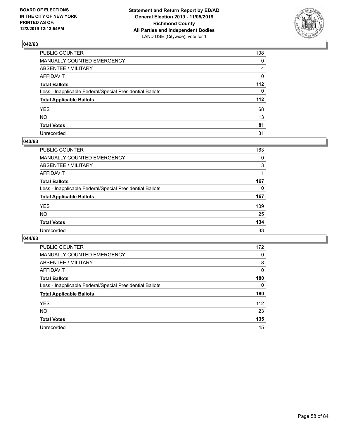

| PUBLIC COUNTER                                           | 108 |
|----------------------------------------------------------|-----|
| MANUALLY COUNTED EMERGENCY                               | 0   |
| ABSENTEE / MILITARY                                      | 4   |
| AFFIDAVIT                                                | 0   |
| Total Ballots                                            | 112 |
| Less - Inapplicable Federal/Special Presidential Ballots | 0   |
| <b>Total Applicable Ballots</b>                          | 112 |
| YES                                                      | 68  |
| NO.                                                      | 13  |
| <b>Total Votes</b>                                       | 81  |
| Unrecorded                                               | 31  |

### **043/63**

| <b>PUBLIC COUNTER</b>                                    | 163      |
|----------------------------------------------------------|----------|
| <b>MANUALLY COUNTED EMERGENCY</b>                        | 0        |
| ABSENTEE / MILITARY                                      | 3        |
| AFFIDAVIT                                                |          |
| <b>Total Ballots</b>                                     | 167      |
| Less - Inapplicable Federal/Special Presidential Ballots | $\Omega$ |
| <b>Total Applicable Ballots</b>                          | 167      |
| <b>YES</b>                                               | 109      |
| <b>NO</b>                                                | 25       |
| <b>Total Votes</b>                                       | 134      |
| Unrecorded                                               | 33       |

| PUBLIC COUNTER                                           | 172      |
|----------------------------------------------------------|----------|
| MANUALLY COUNTED EMERGENCY                               | 0        |
| ABSENTEE / MILITARY                                      | 8        |
| AFFIDAVIT                                                | $\Omega$ |
| <b>Total Ballots</b>                                     | 180      |
| Less - Inapplicable Federal/Special Presidential Ballots | $\Omega$ |
| <b>Total Applicable Ballots</b>                          | 180      |
| <b>YES</b>                                               | 112      |
| <b>NO</b>                                                | 23       |
| <b>Total Votes</b>                                       | 135      |
| Unrecorded                                               | 45       |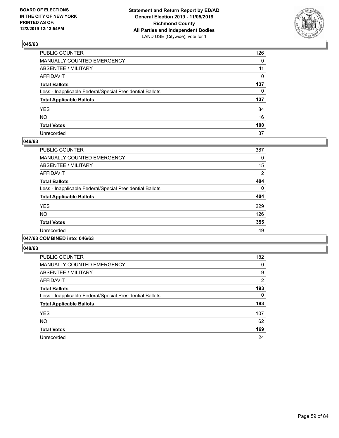

| PUBLIC COUNTER                                           | 126          |
|----------------------------------------------------------|--------------|
| MANUALLY COUNTED EMERGENCY                               | $\mathbf{0}$ |
| ABSENTEE / MILITARY                                      | 11           |
| AFFIDAVIT                                                | 0            |
| Total Ballots                                            | 137          |
| Less - Inapplicable Federal/Special Presidential Ballots | $\mathbf{0}$ |
| <b>Total Applicable Ballots</b>                          | 137          |
| YES                                                      | 84           |
| NO.                                                      | 16           |
| <b>Total Votes</b>                                       | 100          |
| Unrecorded                                               | 37           |

### **046/63**

| <b>PUBLIC COUNTER</b>                                    | 387            |
|----------------------------------------------------------|----------------|
| <b>MANUALLY COUNTED EMERGENCY</b>                        | 0              |
| ABSENTEE / MILITARY                                      | 15             |
| <b>AFFIDAVIT</b>                                         | $\overline{2}$ |
| <b>Total Ballots</b>                                     | 404            |
| Less - Inapplicable Federal/Special Presidential Ballots | $\Omega$       |
| <b>Total Applicable Ballots</b>                          | 404            |
| <b>YES</b>                                               | 229            |
| N <sub>O</sub>                                           | 126            |
| <b>Total Votes</b>                                       | 355            |
| Unrecorded                                               | 49             |
|                                                          |                |

#### **047/63 COMBINED into: 046/63**

| <b>PUBLIC COUNTER</b>                                    | 182            |
|----------------------------------------------------------|----------------|
| <b>MANUALLY COUNTED EMERGENCY</b>                        | 0              |
| ABSENTEE / MILITARY                                      | 9              |
| <b>AFFIDAVIT</b>                                         | $\overline{2}$ |
| <b>Total Ballots</b>                                     | 193            |
| Less - Inapplicable Federal/Special Presidential Ballots | 0              |
| <b>Total Applicable Ballots</b>                          | 193            |
| <b>YES</b>                                               | 107            |
| <b>NO</b>                                                | 62             |
| <b>Total Votes</b>                                       | 169            |
| Unrecorded                                               | 24             |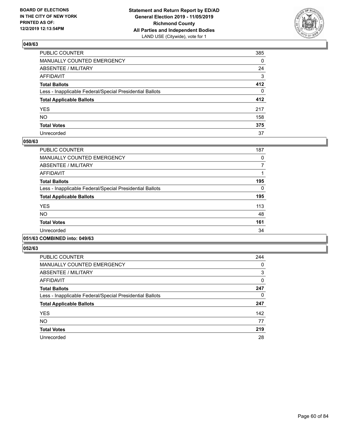

| PUBLIC COUNTER                                           | 385          |
|----------------------------------------------------------|--------------|
| MANUALLY COUNTED EMERGENCY                               | $\mathbf{0}$ |
| ABSENTEE / MILITARY                                      | 24           |
| AFFIDAVIT                                                | 3            |
| Total Ballots                                            | 412          |
| Less - Inapplicable Federal/Special Presidential Ballots | $\Omega$     |
| <b>Total Applicable Ballots</b>                          | 412          |
| YES                                                      | 217          |
| NO.                                                      | 158          |
| <b>Total Votes</b>                                       | 375          |
| Unrecorded                                               | 37           |

### **050/63**

| <b>PUBLIC COUNTER</b>                                    | 187      |
|----------------------------------------------------------|----------|
| <b>MANUALLY COUNTED EMERGENCY</b>                        | 0        |
| ABSENTEE / MILITARY                                      | 7        |
| <b>AFFIDAVIT</b>                                         |          |
| <b>Total Ballots</b>                                     | 195      |
| Less - Inapplicable Federal/Special Presidential Ballots | $\Omega$ |
| <b>Total Applicable Ballots</b>                          | 195      |
| <b>YES</b>                                               | 113      |
| <b>NO</b>                                                | 48       |
| <b>Total Votes</b>                                       | 161      |
| Unrecorded                                               | 34       |
|                                                          |          |

## **051/63 COMBINED into: 049/63**

| <b>PUBLIC COUNTER</b>                                    | 244 |
|----------------------------------------------------------|-----|
| <b>MANUALLY COUNTED EMERGENCY</b>                        | 0   |
| ABSENTEE / MILITARY                                      | 3   |
| <b>AFFIDAVIT</b>                                         | 0   |
| <b>Total Ballots</b>                                     | 247 |
| Less - Inapplicable Federal/Special Presidential Ballots | 0   |
| <b>Total Applicable Ballots</b>                          | 247 |
| <b>YES</b>                                               | 142 |
| <b>NO</b>                                                | 77  |
| <b>Total Votes</b>                                       | 219 |
| Unrecorded                                               | 28  |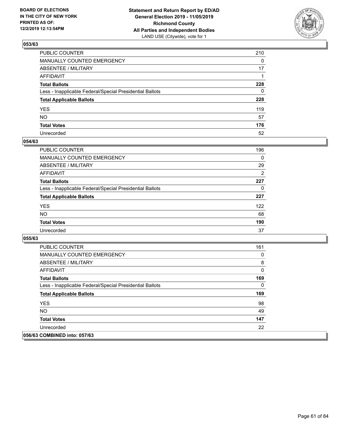

| PUBLIC COUNTER                                           | 210          |
|----------------------------------------------------------|--------------|
| MANUALLY COUNTED EMERGENCY                               | $\mathbf{0}$ |
| ABSENTEE / MILITARY                                      | 17           |
| AFFIDAVIT                                                |              |
| Total Ballots                                            | 228          |
| Less - Inapplicable Federal/Special Presidential Ballots | $\mathbf{0}$ |
| <b>Total Applicable Ballots</b>                          | 228          |
| YES                                                      | 119          |
| NΟ                                                       | 57           |
| <b>Total Votes</b>                                       | 176          |
| Unrecorded                                               | 52           |

### **054/63**

| <b>PUBLIC COUNTER</b>                                    | 196            |
|----------------------------------------------------------|----------------|
| <b>MANUALLY COUNTED EMERGENCY</b>                        | $\Omega$       |
| ABSENTEE / MILITARY                                      | 29             |
| AFFIDAVIT                                                | $\overline{2}$ |
| <b>Total Ballots</b>                                     | 227            |
| Less - Inapplicable Federal/Special Presidential Ballots | 0              |
| <b>Total Applicable Ballots</b>                          | 227            |
| <b>YES</b>                                               | 122            |
| <b>NO</b>                                                | 68             |
| <b>Total Votes</b>                                       | 190            |
| Unrecorded                                               | 37             |

| <b>PUBLIC COUNTER</b>                                    | 161 |
|----------------------------------------------------------|-----|
| <b>MANUALLY COUNTED EMERGENCY</b>                        | 0   |
| ABSENTEE / MILITARY                                      | 8   |
| AFFIDAVIT                                                | 0   |
| <b>Total Ballots</b>                                     | 169 |
| Less - Inapplicable Federal/Special Presidential Ballots | 0   |
| <b>Total Applicable Ballots</b>                          | 169 |
| <b>YES</b>                                               | 98  |
| NO.                                                      | 49  |
| <b>Total Votes</b>                                       | 147 |
| Unrecorded                                               | 22  |
| 056/63 COMBINED into: 057/63                             |     |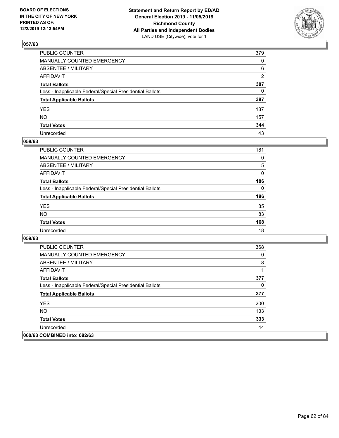

| PUBLIC COUNTER                                           | 379            |
|----------------------------------------------------------|----------------|
| MANUALLY COUNTED EMERGENCY                               | $\mathbf{0}$   |
| ABSENTEE / MILITARY                                      | 6              |
| AFFIDAVIT                                                | $\overline{2}$ |
| Total Ballots                                            | 387            |
| Less - Inapplicable Federal/Special Presidential Ballots | $\mathbf{0}$   |
| <b>Total Applicable Ballots</b>                          | 387            |
| YES                                                      | 187            |
| NO.                                                      | 157            |
| <b>Total Votes</b>                                       | 344            |
| Unrecorded                                               | 43             |

### **058/63**

| <b>PUBLIC COUNTER</b>                                    | 181      |
|----------------------------------------------------------|----------|
| <b>MANUALLY COUNTED EMERGENCY</b>                        | $\Omega$ |
| ABSENTEE / MILITARY                                      | 5        |
| AFFIDAVIT                                                | $\Omega$ |
| <b>Total Ballots</b>                                     | 186      |
| Less - Inapplicable Federal/Special Presidential Ballots | $\Omega$ |
| <b>Total Applicable Ballots</b>                          | 186      |
| <b>YES</b>                                               | 85       |
| <b>NO</b>                                                | 83       |
| <b>Total Votes</b>                                       | 168      |
| Unrecorded                                               | 18       |

| <b>PUBLIC COUNTER</b>                                    | 368      |
|----------------------------------------------------------|----------|
| <b>MANUALLY COUNTED EMERGENCY</b>                        | $\Omega$ |
| ABSENTEE / MILITARY                                      | 8        |
| AFFIDAVIT                                                |          |
| <b>Total Ballots</b>                                     | 377      |
| Less - Inapplicable Federal/Special Presidential Ballots | $\Omega$ |
| <b>Total Applicable Ballots</b>                          | 377      |
| <b>YES</b>                                               | 200      |
| NO.                                                      | 133      |
| <b>Total Votes</b>                                       | 333      |
| Unrecorded                                               | 44       |
| 060/63 COMBINED into: 082/63                             |          |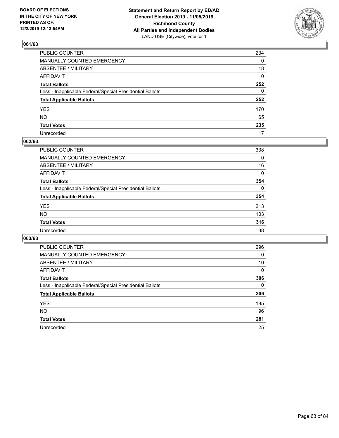

| PUBLIC COUNTER                                           | 234 |
|----------------------------------------------------------|-----|
| MANUALLY COUNTED EMERGENCY                               | 0   |
| ABSENTEE / MILITARY                                      | 18  |
| AFFIDAVIT                                                | 0   |
| Total Ballots                                            | 252 |
| Less - Inapplicable Federal/Special Presidential Ballots | 0   |
| <b>Total Applicable Ballots</b>                          | 252 |
| YES                                                      | 170 |
| NO.                                                      | 65  |
| <b>Total Votes</b>                                       | 235 |
| Unrecorded                                               | 17  |

### **062/63**

| <b>PUBLIC COUNTER</b>                                    | 338      |
|----------------------------------------------------------|----------|
| MANUALLY COUNTED EMERGENCY                               | 0        |
| ABSENTEE / MILITARY                                      | 16       |
| AFFIDAVIT                                                | 0        |
| <b>Total Ballots</b>                                     | 354      |
| Less - Inapplicable Federal/Special Presidential Ballots | $\Omega$ |
| <b>Total Applicable Ballots</b>                          | 354      |
| <b>YES</b>                                               | 213      |
| <b>NO</b>                                                | 103      |
| <b>Total Votes</b>                                       | 316      |
| Unrecorded                                               | 38       |

| <b>PUBLIC COUNTER</b>                                    | 296 |
|----------------------------------------------------------|-----|
| MANUALLY COUNTED EMERGENCY                               | 0   |
| ABSENTEE / MILITARY                                      | 10  |
| AFFIDAVIT                                                | 0   |
| <b>Total Ballots</b>                                     | 306 |
| Less - Inapplicable Federal/Special Presidential Ballots | 0   |
| <b>Total Applicable Ballots</b>                          | 306 |
| <b>YES</b>                                               | 185 |
| NO.                                                      | 96  |
| <b>Total Votes</b>                                       | 281 |
| Unrecorded                                               | 25  |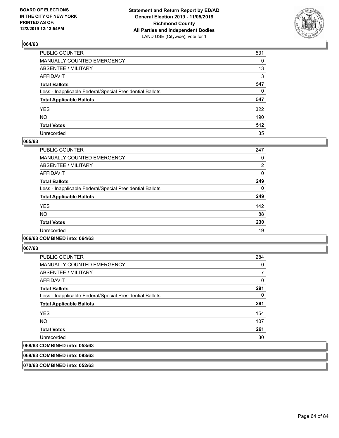

| PUBLIC COUNTER                                           | 531 |
|----------------------------------------------------------|-----|
| MANUALLY COUNTED EMERGENCY                               | 0   |
| ABSENTEE / MILITARY                                      | 13  |
| AFFIDAVIT                                                | 3   |
| Total Ballots                                            | 547 |
| Less - Inapplicable Federal/Special Presidential Ballots | 0   |
| <b>Total Applicable Ballots</b>                          | 547 |
| YES                                                      | 322 |
| NO.                                                      | 190 |
| <b>Total Votes</b>                                       | 512 |
| Unrecorded                                               | 35  |

### **065/63**

| <b>PUBLIC COUNTER</b>                                    | 247      |
|----------------------------------------------------------|----------|
| <b>MANUALLY COUNTED EMERGENCY</b>                        | 0        |
| ABSENTEE / MILITARY                                      | 2        |
| <b>AFFIDAVIT</b>                                         | 0        |
| <b>Total Ballots</b>                                     | 249      |
| Less - Inapplicable Federal/Special Presidential Ballots | $\Omega$ |
| <b>Total Applicable Ballots</b>                          | 249      |
| <b>YES</b>                                               | 142      |
| <b>NO</b>                                                | 88       |
| <b>Total Votes</b>                                       | 230      |
| Unrecorded                                               | 19       |
|                                                          |          |

### **066/63 COMBINED into: 064/63**

**067/63** 

| <b>PUBLIC COUNTER</b>                                    | 284 |
|----------------------------------------------------------|-----|
| <b>MANUALLY COUNTED EMERGENCY</b>                        | 0   |
| ABSENTEE / MILITARY                                      | 7   |
| AFFIDAVIT                                                | 0   |
| <b>Total Ballots</b>                                     | 291 |
| Less - Inapplicable Federal/Special Presidential Ballots | 0   |
| <b>Total Applicable Ballots</b>                          | 291 |
| <b>YES</b>                                               | 154 |
| NO.                                                      | 107 |
| <b>Total Votes</b>                                       | 261 |
| Unrecorded                                               | 30  |
| 068/63 COMBINED into: 053/63                             |     |

**069/63 COMBINED into: 083/63**

**070/63 COMBINED into: 052/63**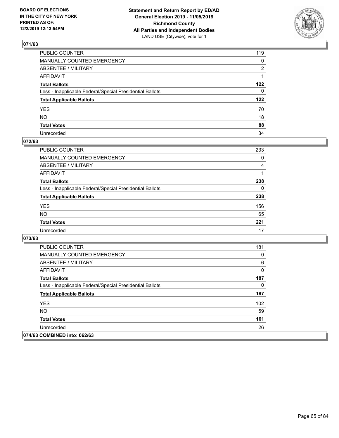

| PUBLIC COUNTER                                           | 119          |
|----------------------------------------------------------|--------------|
| MANUALLY COUNTED EMERGENCY                               | 0            |
| ABSENTEE / MILITARY                                      | 2            |
| AFFIDAVIT                                                |              |
| Total Ballots                                            | 122          |
| Less - Inapplicable Federal/Special Presidential Ballots | $\mathbf{0}$ |
| <b>Total Applicable Ballots</b>                          | 122          |
| YES                                                      | 70           |
| NO.                                                      | 18           |
| <b>Total Votes</b>                                       | 88           |
| Unrecorded                                               | 34           |

### **072/63**

| <b>PUBLIC COUNTER</b>                                    | 233 |
|----------------------------------------------------------|-----|
| <b>MANUALLY COUNTED EMERGENCY</b>                        | 0   |
| ABSENTEE / MILITARY                                      | 4   |
| AFFIDAVIT                                                |     |
| <b>Total Ballots</b>                                     | 238 |
| Less - Inapplicable Federal/Special Presidential Ballots | 0   |
| <b>Total Applicable Ballots</b>                          | 238 |
| <b>YES</b>                                               | 156 |
| <b>NO</b>                                                | 65  |
| <b>Total Votes</b>                                       | 221 |
| Unrecorded                                               | 17  |

| <b>PUBLIC COUNTER</b>                                    | 181 |
|----------------------------------------------------------|-----|
| <b>MANUALLY COUNTED EMERGENCY</b>                        | 0   |
| ABSENTEE / MILITARY                                      | 6   |
| AFFIDAVIT                                                | 0   |
| <b>Total Ballots</b>                                     | 187 |
| Less - Inapplicable Federal/Special Presidential Ballots | 0   |
| <b>Total Applicable Ballots</b>                          | 187 |
| <b>YES</b>                                               | 102 |
| NO.                                                      | 59  |
| <b>Total Votes</b>                                       | 161 |
| Unrecorded                                               | 26  |
| 074/63 COMBINED into: 062/63                             |     |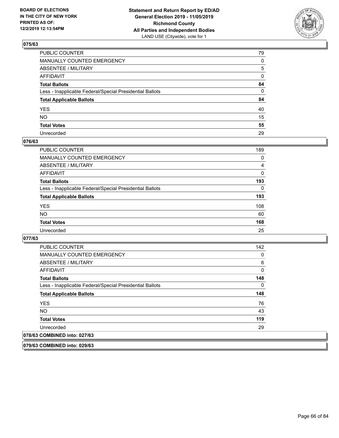

| PUBLIC COUNTER                                           | 79           |
|----------------------------------------------------------|--------------|
| MANUALLY COUNTED EMERGENCY                               | $\mathbf{0}$ |
| ABSENTEE / MILITARY                                      | 5            |
| AFFIDAVIT                                                | 0            |
| Total Ballots                                            | 84           |
| Less - Inapplicable Federal/Special Presidential Ballots | $\mathbf{0}$ |
| <b>Total Applicable Ballots</b>                          | 84           |
| YES                                                      | 40           |
| NO.                                                      | 15           |
| <b>Total Votes</b>                                       | 55           |
| Unrecorded                                               | 29           |

### **076/63**

| <b>PUBLIC COUNTER</b>                                    | 189      |
|----------------------------------------------------------|----------|
| <b>MANUALLY COUNTED EMERGENCY</b>                        | 0        |
| ABSENTEE / MILITARY                                      | 4        |
| AFFIDAVIT                                                | $\Omega$ |
| <b>Total Ballots</b>                                     | 193      |
| Less - Inapplicable Federal/Special Presidential Ballots | $\Omega$ |
| <b>Total Applicable Ballots</b>                          | 193      |
| <b>YES</b>                                               | 108      |
| <b>NO</b>                                                | 60       |
| <b>Total Votes</b>                                       | 168      |
| Unrecorded                                               | 25       |

### **077/63**

| <b>PUBLIC COUNTER</b>                                    | 142 |
|----------------------------------------------------------|-----|
| <b>MANUALLY COUNTED EMERGENCY</b>                        | 0   |
| ABSENTEE / MILITARY                                      | 6   |
| AFFIDAVIT                                                | 0   |
| <b>Total Ballots</b>                                     | 148 |
| Less - Inapplicable Federal/Special Presidential Ballots | 0   |
| <b>Total Applicable Ballots</b>                          | 148 |
| <b>YES</b>                                               | 76  |
| <b>NO</b>                                                | 43  |
| <b>Total Votes</b>                                       | 119 |
| Unrecorded                                               | 29  |
| 078/63 COMBINED into: 027/63                             |     |

**079/63 COMBINED into: 029/63**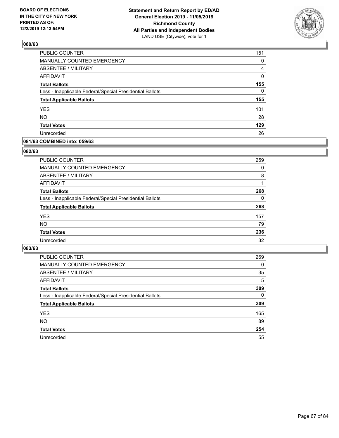

| PUBLIC COUNTER                                           | 151          |
|----------------------------------------------------------|--------------|
| MANUALLY COUNTED EMERGENCY                               | 0            |
| <b>ABSENTEE / MILITARY</b>                               | 4            |
| <b>AFFIDAVIT</b>                                         | 0            |
| <b>Total Ballots</b>                                     | 155          |
| Less - Inapplicable Federal/Special Presidential Ballots | $\mathbf{0}$ |
| <b>Total Applicable Ballots</b>                          | 155          |
| <b>YES</b>                                               | 101          |
| <b>NO</b>                                                | 28           |
| <b>Total Votes</b>                                       | 129          |
| Unrecorded                                               | 26           |

### **081/63 COMBINED into: 059/63**

#### **082/63**

| <b>PUBLIC COUNTER</b>                                    | 259      |
|----------------------------------------------------------|----------|
| MANUALLY COUNTED EMERGENCY                               | $\Omega$ |
| <b>ABSENTEE / MILITARY</b>                               | 8        |
| AFFIDAVIT                                                |          |
| <b>Total Ballots</b>                                     | 268      |
| Less - Inapplicable Federal/Special Presidential Ballots | $\Omega$ |
| <b>Total Applicable Ballots</b>                          | 268      |
| <b>YES</b>                                               | 157      |
| <b>NO</b>                                                | 79       |
| <b>Total Votes</b>                                       | 236      |
| Unrecorded                                               | 32       |
|                                                          |          |

| <b>PUBLIC COUNTER</b>                                    | 269      |
|----------------------------------------------------------|----------|
| MANUALLY COUNTED EMERGENCY                               | 0        |
| ABSENTEE / MILITARY                                      | 35       |
| AFFIDAVIT                                                | 5        |
| <b>Total Ballots</b>                                     | 309      |
| Less - Inapplicable Federal/Special Presidential Ballots | $\Omega$ |
| <b>Total Applicable Ballots</b>                          | 309      |
| <b>YES</b>                                               | 165      |
| <b>NO</b>                                                | 89       |
| <b>Total Votes</b>                                       | 254      |
| Unrecorded                                               | 55       |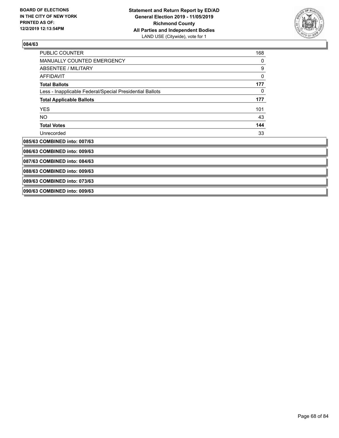

| <b>PUBLIC COUNTER</b>                                    | 168 |
|----------------------------------------------------------|-----|
| MANUALLY COUNTED EMERGENCY                               | 0   |
| ABSENTEE / MILITARY                                      | 9   |
| <b>AFFIDAVIT</b>                                         | 0   |
| <b>Total Ballots</b>                                     | 177 |
| Less - Inapplicable Federal/Special Presidential Ballots | 0   |
| <b>Total Applicable Ballots</b>                          | 177 |
| <b>YES</b>                                               | 101 |
| <b>NO</b>                                                | 43  |
| <b>Total Votes</b>                                       | 144 |
| Unrecorded                                               | 33  |
| 085/63 COMBINED into: 007/63                             |     |
| 086/63 COMBINED into: 009/63                             |     |
| 087/63 COMBINED into: 084/63                             |     |
| 088/63 COMBINED into: 009/63                             |     |
| 089/63 COMBINED into: 073/63                             |     |
| 090/63 COMBINED into: 009/63                             |     |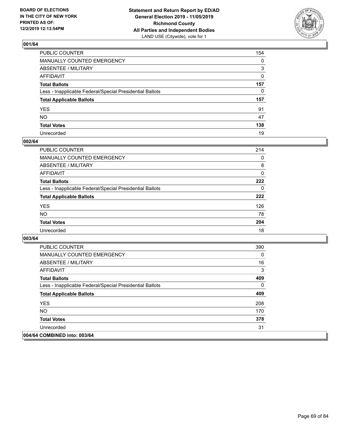

| PUBLIC COUNTER                                           | 154          |
|----------------------------------------------------------|--------------|
| MANUALLY COUNTED EMERGENCY                               | $\mathbf{0}$ |
| ABSENTEE / MILITARY                                      | 3            |
| AFFIDAVIT                                                | $\mathbf{0}$ |
| Total Ballots                                            | 157          |
| Less - Inapplicable Federal/Special Presidential Ballots | $\mathbf{0}$ |
| <b>Total Applicable Ballots</b>                          | 157          |
| YES                                                      | 91           |
| NO.                                                      | 47           |
| <b>Total Votes</b>                                       | 138          |
| Unrecorded                                               | 19           |

### **002/64**

| <b>PUBLIC COUNTER</b>                                    | 214      |
|----------------------------------------------------------|----------|
| <b>MANUALLY COUNTED EMERGENCY</b>                        | $\Omega$ |
| ABSENTEE / MILITARY                                      | 8        |
| AFFIDAVIT                                                | 0        |
| <b>Total Ballots</b>                                     | 222      |
| Less - Inapplicable Federal/Special Presidential Ballots | $\Omega$ |
| <b>Total Applicable Ballots</b>                          | 222      |
| <b>YES</b>                                               | 126      |
| <b>NO</b>                                                | 78       |
| <b>Total Votes</b>                                       | 204      |
| Unrecorded                                               | 18       |

| <b>PUBLIC COUNTER</b>                                    | 390      |
|----------------------------------------------------------|----------|
| <b>MANUALLY COUNTED EMERGENCY</b>                        | $\Omega$ |
| ABSENTEE / MILITARY                                      | 16       |
| AFFIDAVIT                                                | 3        |
| <b>Total Ballots</b>                                     | 409      |
| Less - Inapplicable Federal/Special Presidential Ballots | $\Omega$ |
| <b>Total Applicable Ballots</b>                          | 409      |
| <b>YES</b>                                               | 208      |
| NO.                                                      | 170      |
| <b>Total Votes</b>                                       | 378      |
| Unrecorded                                               | 31       |
| 004/64 COMBINED into: 003/64                             |          |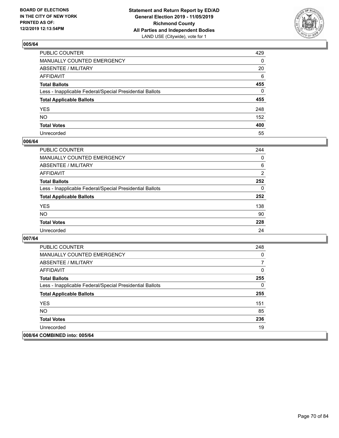

| PUBLIC COUNTER                                           | 429          |
|----------------------------------------------------------|--------------|
| MANUALLY COUNTED EMERGENCY                               | $\mathbf{0}$ |
| ABSENTEE / MILITARY                                      | 20           |
| AFFIDAVIT                                                | 6            |
| Total Ballots                                            | 455          |
| Less - Inapplicable Federal/Special Presidential Ballots | $\Omega$     |
| <b>Total Applicable Ballots</b>                          | 455          |
| YES                                                      | 248          |
| NO.                                                      | 152          |
| <b>Total Votes</b>                                       | 400          |
| Unrecorded                                               | 55           |

### **006/64**

| <b>PUBLIC COUNTER</b>                                    | 244            |
|----------------------------------------------------------|----------------|
| MANUALLY COUNTED EMERGENCY                               | $\Omega$       |
| ABSENTEE / MILITARY                                      | 6              |
| AFFIDAVIT                                                | $\overline{2}$ |
| <b>Total Ballots</b>                                     | 252            |
| Less - Inapplicable Federal/Special Presidential Ballots | $\Omega$       |
| <b>Total Applicable Ballots</b>                          | 252            |
| <b>YES</b>                                               | 138            |
| <b>NO</b>                                                | 90             |
| <b>Total Votes</b>                                       | 228            |
| Unrecorded                                               | 24             |

| <b>PUBLIC COUNTER</b>                                    | 248 |
|----------------------------------------------------------|-----|
| <b>MANUALLY COUNTED EMERGENCY</b>                        | 0   |
| ABSENTEE / MILITARY                                      | 7   |
| AFFIDAVIT                                                | 0   |
| <b>Total Ballots</b>                                     | 255 |
| Less - Inapplicable Federal/Special Presidential Ballots | 0   |
| <b>Total Applicable Ballots</b>                          | 255 |
| <b>YES</b>                                               | 151 |
| <b>NO</b>                                                | 85  |
| <b>Total Votes</b>                                       | 236 |
| Unrecorded                                               | 19  |
| 008/64 COMBINED into: 005/64                             |     |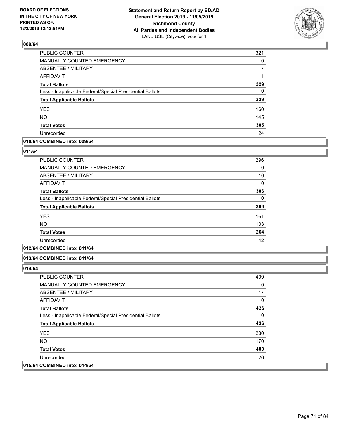

| PUBLIC COUNTER                                           | 321      |
|----------------------------------------------------------|----------|
| MANUALLY COUNTED EMERGENCY                               | 0        |
| <b>ABSENTEE / MILITARY</b>                               |          |
| <b>AFFIDAVIT</b>                                         |          |
| <b>Total Ballots</b>                                     | 329      |
| Less - Inapplicable Federal/Special Presidential Ballots | $\Omega$ |
| <b>Total Applicable Ballots</b>                          | 329      |
| <b>YES</b>                                               | 160      |
| <b>NO</b>                                                | 145      |
| <b>Total Votes</b>                                       | 305      |
| Unrecorded                                               | 24       |

### **010/64 COMBINED into: 009/64**

#### **011/64**

| PUBLIC COUNTER                                           | 296 |
|----------------------------------------------------------|-----|
| <b>MANUALLY COUNTED EMERGENCY</b>                        | 0   |
| ABSENTEE / MILITARY                                      | 10  |
| <b>AFFIDAVIT</b>                                         | 0   |
| <b>Total Ballots</b>                                     | 306 |
| Less - Inapplicable Federal/Special Presidential Ballots | 0   |
| <b>Total Applicable Ballots</b>                          | 306 |
| <b>YES</b>                                               | 161 |
| <b>NO</b>                                                | 103 |
| <b>Total Votes</b>                                       | 264 |
| Unrecorded                                               | 42  |
|                                                          |     |

## **012/64 COMBINED into: 011/64**

#### **013/64 COMBINED into: 011/64**

| <b>PUBLIC COUNTER</b>                                    | 409      |
|----------------------------------------------------------|----------|
| <b>MANUALLY COUNTED EMERGENCY</b>                        | 0        |
| ABSENTEE / MILITARY                                      | 17       |
| AFFIDAVIT                                                | 0        |
| <b>Total Ballots</b>                                     | 426      |
| Less - Inapplicable Federal/Special Presidential Ballots | $\Omega$ |
| <b>Total Applicable Ballots</b>                          | 426      |
| <b>YES</b>                                               | 230      |
| <b>NO</b>                                                | 170      |
| <b>Total Votes</b>                                       | 400      |
| Unrecorded                                               | 26       |
| 015/64 COMBINED into: 014/64                             |          |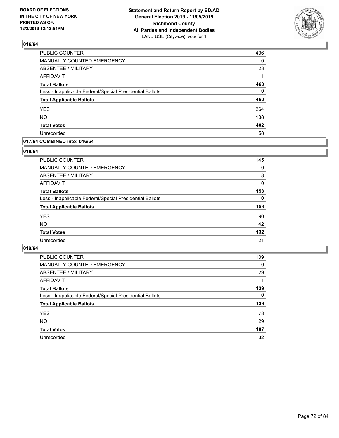

| <b>PUBLIC COUNTER</b>                                    | 436      |
|----------------------------------------------------------|----------|
| MANUALLY COUNTED EMERGENCY                               | 0        |
| ABSENTEE / MILITARY                                      | 23       |
| <b>AFFIDAVIT</b>                                         | 1        |
| <b>Total Ballots</b>                                     | 460      |
| Less - Inapplicable Federal/Special Presidential Ballots | $\Omega$ |
| <b>Total Applicable Ballots</b>                          | 460      |
| <b>YES</b>                                               | 264      |
| <b>NO</b>                                                | 138      |
| <b>Total Votes</b>                                       | 402      |
| Unrecorded                                               | 58       |

### **017/64 COMBINED into: 016/64**

### **018/64**

| <b>PUBLIC COUNTER</b>                                    | 145      |
|----------------------------------------------------------|----------|
| MANUALLY COUNTED EMERGENCY                               | $\Omega$ |
| ABSENTEE / MILITARY                                      | 8        |
| AFFIDAVIT                                                | $\Omega$ |
| <b>Total Ballots</b>                                     | 153      |
| Less - Inapplicable Federal/Special Presidential Ballots | $\Omega$ |
| <b>Total Applicable Ballots</b>                          | 153      |
| <b>YES</b>                                               | 90       |
| <b>NO</b>                                                | 42       |
| <b>Total Votes</b>                                       | 132      |
| Unrecorded                                               | 21       |
|                                                          |          |

| <b>PUBLIC COUNTER</b>                                    | 109      |
|----------------------------------------------------------|----------|
| MANUALLY COUNTED EMERGENCY                               | 0        |
| ABSENTEE / MILITARY                                      | 29       |
| AFFIDAVIT                                                |          |
| <b>Total Ballots</b>                                     | 139      |
| Less - Inapplicable Federal/Special Presidential Ballots | $\Omega$ |
| <b>Total Applicable Ballots</b>                          | 139      |
| <b>YES</b>                                               | 78       |
| <b>NO</b>                                                | 29       |
| <b>Total Votes</b>                                       | 107      |
| Unrecorded                                               | 32       |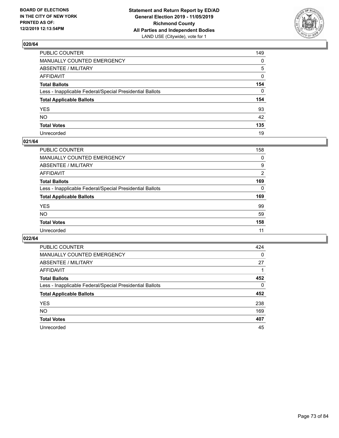

| PUBLIC COUNTER                                           | 149 |
|----------------------------------------------------------|-----|
| MANUALLY COUNTED EMERGENCY                               | 0   |
| ABSENTEE / MILITARY                                      | 5   |
| AFFIDAVIT                                                | 0   |
| Total Ballots                                            | 154 |
| Less - Inapplicable Federal/Special Presidential Ballots | 0   |
| <b>Total Applicable Ballots</b>                          | 154 |
| YES                                                      | 93  |
| NO.                                                      | 42  |
| <b>Total Votes</b>                                       | 135 |
| Unrecorded                                               | 19  |

#### **021/64**

| PUBLIC COUNTER                                           | 158      |
|----------------------------------------------------------|----------|
| MANUALLY COUNTED EMERGENCY                               | 0        |
| ABSENTEE / MILITARY                                      | 9        |
| AFFIDAVIT                                                | 2        |
| <b>Total Ballots</b>                                     | 169      |
| Less - Inapplicable Federal/Special Presidential Ballots | $\Omega$ |
| <b>Total Applicable Ballots</b>                          | 169      |
| <b>YES</b>                                               | 99       |
| <b>NO</b>                                                | 59       |
| <b>Total Votes</b>                                       | 158      |
| Unrecorded                                               | 11       |

| PUBLIC COUNTER                                           | 424      |
|----------------------------------------------------------|----------|
| MANUALLY COUNTED EMERGENCY                               | $\Omega$ |
| ABSENTEE / MILITARY                                      | 27       |
| AFFIDAVIT                                                |          |
| <b>Total Ballots</b>                                     | 452      |
| Less - Inapplicable Federal/Special Presidential Ballots | $\Omega$ |
| <b>Total Applicable Ballots</b>                          | 452      |
| <b>YES</b>                                               | 238      |
| NO.                                                      | 169      |
| <b>Total Votes</b>                                       | 407      |
| Unrecorded                                               | 45       |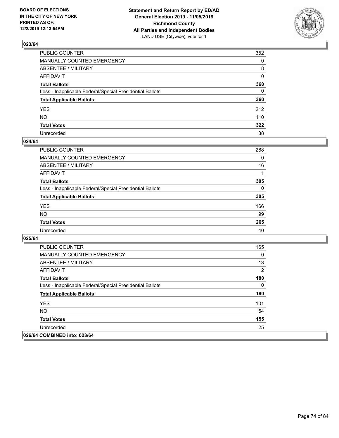

| PUBLIC COUNTER                                           | 352          |
|----------------------------------------------------------|--------------|
| MANUALLY COUNTED EMERGENCY                               | $\mathbf{0}$ |
| ABSENTEE / MILITARY                                      | 8            |
| AFFIDAVIT                                                | $\mathbf{0}$ |
| Total Ballots                                            | 360          |
| Less - Inapplicable Federal/Special Presidential Ballots | $\mathbf{0}$ |
| <b>Total Applicable Ballots</b>                          | 360          |
| YES                                                      | 212          |
| NO.                                                      | 110          |
| <b>Total Votes</b>                                       | 322          |
| Unrecorded                                               | 38           |

#### **024/64**

| PUBLIC COUNTER                                           | 288      |
|----------------------------------------------------------|----------|
| <b>MANUALLY COUNTED EMERGENCY</b>                        | $\Omega$ |
| <b>ABSENTEE / MILITARY</b>                               | 16       |
| <b>AFFIDAVIT</b>                                         |          |
| <b>Total Ballots</b>                                     | 305      |
| Less - Inapplicable Federal/Special Presidential Ballots | $\Omega$ |
| <b>Total Applicable Ballots</b>                          | 305      |
| <b>YES</b>                                               | 166      |
| <b>NO</b>                                                | 99       |
| <b>Total Votes</b>                                       | 265      |
| Unrecorded                                               | 40       |

| <b>PUBLIC COUNTER</b>                                    | 165      |
|----------------------------------------------------------|----------|
| <b>MANUALLY COUNTED EMERGENCY</b>                        | $\Omega$ |
| ABSENTEE / MILITARY                                      | 13       |
| AFFIDAVIT                                                | 2        |
| <b>Total Ballots</b>                                     | 180      |
| Less - Inapplicable Federal/Special Presidential Ballots | 0        |
| <b>Total Applicable Ballots</b>                          | 180      |
| <b>YES</b>                                               | 101      |
| NO.                                                      | 54       |
| <b>Total Votes</b>                                       | 155      |
| Unrecorded                                               | 25       |
| 026/64 COMBINED into: 023/64                             |          |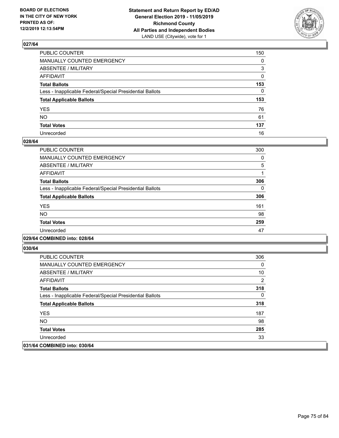

| PUBLIC COUNTER                                           | 150          |
|----------------------------------------------------------|--------------|
| MANUALLY COUNTED EMERGENCY                               | $\mathbf{0}$ |
| ABSENTEE / MILITARY                                      | 3            |
| AFFIDAVIT                                                | $\mathbf{0}$ |
| Total Ballots                                            | 153          |
| Less - Inapplicable Federal/Special Presidential Ballots | $\mathbf{0}$ |
| <b>Total Applicable Ballots</b>                          | 153          |
| YES                                                      | 76           |
| NO.                                                      | 61           |
| <b>Total Votes</b>                                       | 137          |
| Unrecorded                                               | 16           |

#### **028/64**

| PUBLIC COUNTER                                           | 300 |
|----------------------------------------------------------|-----|
| MANUALLY COUNTED EMERGENCY                               | 0   |
| ABSENTEE / MILITARY                                      | 5   |
| AFFIDAVIT                                                |     |
| <b>Total Ballots</b>                                     | 306 |
| Less - Inapplicable Federal/Special Presidential Ballots | 0   |
| <b>Total Applicable Ballots</b>                          | 306 |
| <b>YES</b>                                               | 161 |
| NO.                                                      | 98  |
| <b>Total Votes</b>                                       | 259 |
| Unrecorded                                               | 47  |
|                                                          |     |

#### **029/64 COMBINED into: 028/64**

| PUBLIC COUNTER                                           | 306 |
|----------------------------------------------------------|-----|
| <b>MANUALLY COUNTED EMERGENCY</b>                        | 0   |
| ABSENTEE / MILITARY                                      | 10  |
| AFFIDAVIT                                                | 2   |
| <b>Total Ballots</b>                                     | 318 |
| Less - Inapplicable Federal/Special Presidential Ballots | 0   |
| <b>Total Applicable Ballots</b>                          | 318 |
| <b>YES</b>                                               | 187 |
| NO.                                                      | 98  |
| <b>Total Votes</b>                                       | 285 |
| Unrecorded                                               | 33  |
| 031/64 COMBINED into: 030/64                             |     |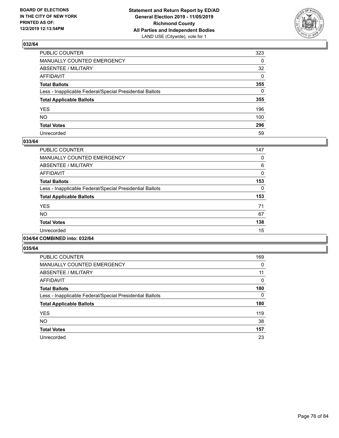

| PUBLIC COUNTER                                           | 323          |
|----------------------------------------------------------|--------------|
| MANUALLY COUNTED EMERGENCY                               | $\Omega$     |
| ABSENTEE / MILITARY                                      | 32           |
| AFFIDAVIT                                                | $\mathbf{0}$ |
| Total Ballots                                            | 355          |
| Less - Inapplicable Federal/Special Presidential Ballots | $\Omega$     |
| <b>Total Applicable Ballots</b>                          | 355          |
| YES                                                      | 196          |
| NO.                                                      | 100          |
| <b>Total Votes</b>                                       | 296          |
| Unrecorded                                               | 59           |

#### **033/64**

| PUBLIC COUNTER                                           | 147      |
|----------------------------------------------------------|----------|
| <b>MANUALLY COUNTED EMERGENCY</b>                        | 0        |
| ABSENTEE / MILITARY                                      | 6        |
| <b>AFFIDAVIT</b>                                         | 0        |
| <b>Total Ballots</b>                                     | 153      |
| Less - Inapplicable Federal/Special Presidential Ballots | $\Omega$ |
| <b>Total Applicable Ballots</b>                          | 153      |
| <b>YES</b>                                               | 71       |
| <b>NO</b>                                                | 67       |
| <b>Total Votes</b>                                       | 138      |
| Unrecorded                                               | 15       |
|                                                          |          |

# **034/64 COMBINED into: 032/64**

| PUBLIC COUNTER                                           | 169      |
|----------------------------------------------------------|----------|
| <b>MANUALLY COUNTED EMERGENCY</b>                        | 0        |
| ABSENTEE / MILITARY                                      | 11       |
| <b>AFFIDAVIT</b>                                         | $\Omega$ |
| <b>Total Ballots</b>                                     | 180      |
| Less - Inapplicable Federal/Special Presidential Ballots | 0        |
| <b>Total Applicable Ballots</b>                          | 180      |
| <b>YES</b>                                               | 119      |
| <b>NO</b>                                                | 38       |
| <b>Total Votes</b>                                       | 157      |
| Unrecorded                                               | 23       |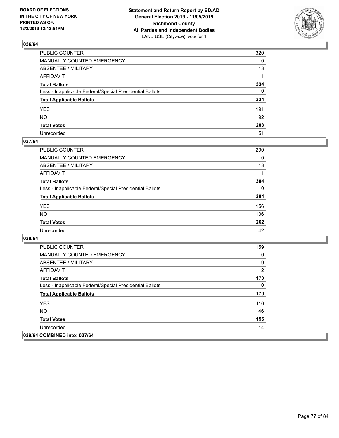

| PUBLIC COUNTER                                           | 320      |
|----------------------------------------------------------|----------|
| MANUALLY COUNTED EMERGENCY                               | $\Omega$ |
| ABSENTEE / MILITARY                                      | 13       |
| AFFIDAVIT                                                |          |
| Total Ballots                                            | 334      |
| Less - Inapplicable Federal/Special Presidential Ballots | $\Omega$ |
| <b>Total Applicable Ballots</b>                          | 334      |
| YES                                                      | 191      |
| NO.                                                      | 92       |
| <b>Total Votes</b>                                       | 283      |
| Unrecorded                                               | 51       |

### **037/64**

| PUBLIC COUNTER                                           | 290      |
|----------------------------------------------------------|----------|
| <b>MANUALLY COUNTED EMERGENCY</b>                        | 0        |
| <b>ABSENTEE / MILITARY</b>                               | 13       |
| <b>AFFIDAVIT</b>                                         |          |
| <b>Total Ballots</b>                                     | 304      |
| Less - Inapplicable Federal/Special Presidential Ballots | $\Omega$ |
| <b>Total Applicable Ballots</b>                          | 304      |
| <b>YES</b>                                               | 156      |
| <b>NO</b>                                                | 106      |
| <b>Total Votes</b>                                       | 262      |
| Unrecorded                                               | 42       |

| <b>PUBLIC COUNTER</b>                                    | 159 |
|----------------------------------------------------------|-----|
| <b>MANUALLY COUNTED EMERGENCY</b>                        | 0   |
| ABSENTEE / MILITARY                                      | 9   |
| AFFIDAVIT                                                | 2   |
| <b>Total Ballots</b>                                     | 170 |
| Less - Inapplicable Federal/Special Presidential Ballots | 0   |
| <b>Total Applicable Ballots</b>                          | 170 |
| <b>YES</b>                                               | 110 |
| NO.                                                      | 46  |
| <b>Total Votes</b>                                       | 156 |
| Unrecorded                                               | 14  |
| 039/64 COMBINED into: 037/64                             |     |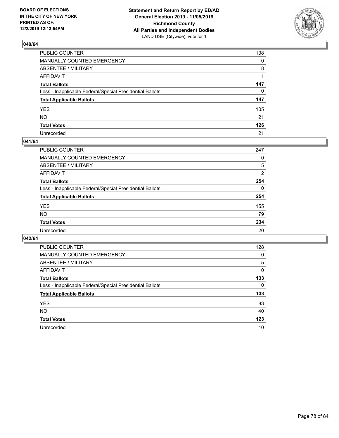

| PUBLIC COUNTER                                           | 138          |
|----------------------------------------------------------|--------------|
| MANUALLY COUNTED EMERGENCY                               | $\mathbf{0}$ |
| ABSENTEE / MILITARY                                      | 8            |
| AFFIDAVIT                                                |              |
| Total Ballots                                            | 147          |
| Less - Inapplicable Federal/Special Presidential Ballots | $\mathbf{0}$ |
| <b>Total Applicable Ballots</b>                          | 147          |
| YES                                                      | 105          |
| NO.                                                      | 21           |
| <b>Total Votes</b>                                       | 126          |
| Unrecorded                                               | 21           |

#### **041/64**

| PUBLIC COUNTER                                           | 247      |
|----------------------------------------------------------|----------|
| <b>MANUALLY COUNTED EMERGENCY</b>                        | 0        |
| ABSENTEE / MILITARY                                      | 5        |
| AFFIDAVIT                                                | 2        |
| <b>Total Ballots</b>                                     | 254      |
| Less - Inapplicable Federal/Special Presidential Ballots | $\Omega$ |
| <b>Total Applicable Ballots</b>                          | 254      |
| <b>YES</b>                                               | 155      |
| <b>NO</b>                                                | 79       |
| <b>Total Votes</b>                                       | 234      |
| Unrecorded                                               | 20       |

| PUBLIC COUNTER                                           | 128      |
|----------------------------------------------------------|----------|
| MANUALLY COUNTED EMERGENCY                               | 0        |
| ABSENTEE / MILITARY                                      | 5        |
| AFFIDAVIT                                                | $\Omega$ |
| <b>Total Ballots</b>                                     | 133      |
| Less - Inapplicable Federal/Special Presidential Ballots | $\Omega$ |
| <b>Total Applicable Ballots</b>                          | 133      |
| <b>YES</b>                                               | 83       |
| <b>NO</b>                                                | 40       |
| <b>Total Votes</b>                                       | 123      |
| Unrecorded                                               | 10       |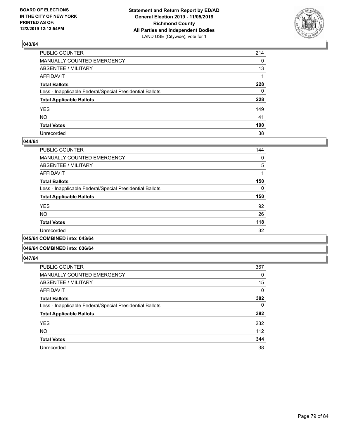

| PUBLIC COUNTER                                           | 214          |
|----------------------------------------------------------|--------------|
| MANUALLY COUNTED EMERGENCY                               | $\mathbf{0}$ |
| ABSENTEE / MILITARY                                      | 13           |
| AFFIDAVIT                                                |              |
| Total Ballots                                            | 228          |
| Less - Inapplicable Federal/Special Presidential Ballots | $\mathbf{0}$ |
| <b>Total Applicable Ballots</b>                          | 228          |
| YES                                                      | 149          |
| NO.                                                      | 41           |
| <b>Total Votes</b>                                       | 190          |
| Unrecorded                                               | 38           |

#### **044/64**

| PUBLIC COUNTER                                           | 144      |
|----------------------------------------------------------|----------|
| MANUALLY COUNTED EMERGENCY                               | 0        |
| ABSENTEE / MILITARY                                      | 5        |
| AFFIDAVIT                                                |          |
| <b>Total Ballots</b>                                     | 150      |
| Less - Inapplicable Federal/Special Presidential Ballots | $\Omega$ |
| <b>Total Applicable Ballots</b>                          | 150      |
| <b>YES</b>                                               | 92       |
| <b>NO</b>                                                | 26       |
| <b>Total Votes</b>                                       | 118      |
| Unrecorded                                               | 32       |
|                                                          |          |

#### **045/64 COMBINED into: 043/64**

#### **046/64 COMBINED into: 036/64**

| <b>PUBLIC COUNTER</b>                                    | 367      |
|----------------------------------------------------------|----------|
| <b>MANUALLY COUNTED EMERGENCY</b>                        | 0        |
| ABSENTEE / MILITARY                                      | 15       |
| <b>AFFIDAVIT</b>                                         | 0        |
| <b>Total Ballots</b>                                     | 382      |
| Less - Inapplicable Federal/Special Presidential Ballots | $\Omega$ |
| <b>Total Applicable Ballots</b>                          | 382      |
| <b>YES</b>                                               | 232      |
| <b>NO</b>                                                | 112      |
| <b>Total Votes</b>                                       | 344      |
| Unrecorded                                               | 38       |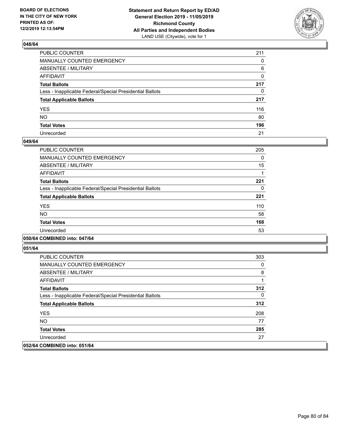

| PUBLIC COUNTER                                           | 211          |
|----------------------------------------------------------|--------------|
| MANUALLY COUNTED EMERGENCY                               | $\mathbf{0}$ |
| ABSENTEE / MILITARY                                      | 6            |
| AFFIDAVIT                                                | 0            |
| Total Ballots                                            | 217          |
| Less - Inapplicable Federal/Special Presidential Ballots | $\mathbf{0}$ |
| <b>Total Applicable Ballots</b>                          | 217          |
| YES                                                      | 116          |
| NΟ                                                       | 80           |
| <b>Total Votes</b>                                       | 196          |
| Unrecorded                                               | 21           |

#### **049/64**

| PUBLIC COUNTER                                           | 205      |
|----------------------------------------------------------|----------|
| MANUALLY COUNTED EMERGENCY                               | $\Omega$ |
| ABSENTEE / MILITARY                                      | 15       |
| AFFIDAVIT                                                |          |
| <b>Total Ballots</b>                                     | 221      |
| Less - Inapplicable Federal/Special Presidential Ballots | 0        |
| <b>Total Applicable Ballots</b>                          | 221      |
| <b>YES</b>                                               | 110      |
| NO.                                                      | 58       |
| <b>Total Votes</b>                                       | 168      |
| Unrecorded                                               | 53       |
|                                                          |          |

#### **050/64 COMBINED into: 047/64**

| PUBLIC COUNTER                                           | 303 |
|----------------------------------------------------------|-----|
| <b>MANUALLY COUNTED EMERGENCY</b>                        | 0   |
| ABSENTEE / MILITARY                                      | 8   |
| AFFIDAVIT                                                |     |
| <b>Total Ballots</b>                                     | 312 |
| Less - Inapplicable Federal/Special Presidential Ballots | 0   |
| <b>Total Applicable Ballots</b>                          | 312 |
| <b>YES</b>                                               | 208 |
| NO.                                                      | 77  |
| <b>Total Votes</b>                                       | 285 |
| Unrecorded                                               | 27  |
| 052/64 COMBINED into: 051/64                             |     |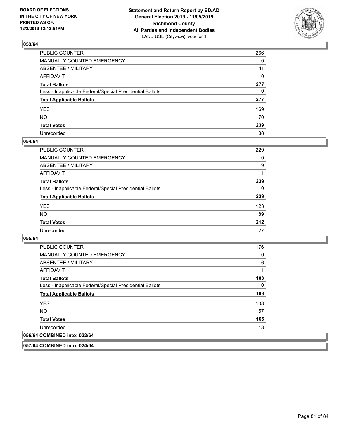

| PUBLIC COUNTER                                           | 266          |
|----------------------------------------------------------|--------------|
| MANUALLY COUNTED EMERGENCY                               | $\Omega$     |
| ABSENTEE / MILITARY                                      | 11           |
| AFFIDAVIT                                                | $\mathbf{0}$ |
| Total Ballots                                            | 277          |
| Less - Inapplicable Federal/Special Presidential Ballots | $\mathbf{0}$ |
| <b>Total Applicable Ballots</b>                          | 277          |
| YES                                                      | 169          |
| NO.                                                      | 70           |
| <b>Total Votes</b>                                       | 239          |
| Unrecorded                                               | 38           |

#### **054/64**

| <b>PUBLIC COUNTER</b>                                    | 229 |
|----------------------------------------------------------|-----|
| <b>MANUALLY COUNTED EMERGENCY</b>                        | 0   |
| ABSENTEE / MILITARY                                      | 9   |
| AFFIDAVIT                                                |     |
| <b>Total Ballots</b>                                     | 239 |
| Less - Inapplicable Federal/Special Presidential Ballots | 0   |
| <b>Total Applicable Ballots</b>                          | 239 |
| <b>YES</b>                                               | 123 |
| <b>NO</b>                                                | 89  |
| <b>Total Votes</b>                                       | 212 |
| Unrecorded                                               | 27  |

#### **055/64**

| PUBLIC COUNTER                                           | 176 |
|----------------------------------------------------------|-----|
| <b>MANUALLY COUNTED EMERGENCY</b>                        | 0   |
| ABSENTEE / MILITARY                                      | 6   |
| AFFIDAVIT                                                | 1   |
| <b>Total Ballots</b>                                     | 183 |
| Less - Inapplicable Federal/Special Presidential Ballots | 0   |
| <b>Total Applicable Ballots</b>                          | 183 |
| <b>YES</b>                                               | 108 |
| <b>NO</b>                                                | 57  |
| <b>Total Votes</b>                                       | 165 |
| Unrecorded                                               | 18  |
| 056/64 COMBINED into: 022/64                             |     |

**057/64 COMBINED into: 024/64**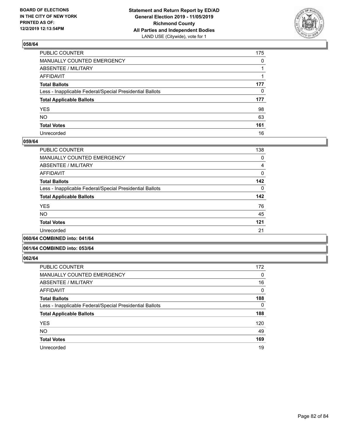

| PUBLIC COUNTER                                           | 175          |
|----------------------------------------------------------|--------------|
| MANUALLY COUNTED EMERGENCY                               | $\mathbf{0}$ |
| ABSENTEE / MILITARY                                      |              |
| AFFIDAVIT                                                |              |
| Total Ballots                                            | 177          |
| Less - Inapplicable Federal/Special Presidential Ballots | $\mathbf{0}$ |
| <b>Total Applicable Ballots</b>                          | 177          |
| YES                                                      | 98           |
| NO.                                                      | 63           |
| <b>Total Votes</b>                                       | 161          |
| Unrecorded                                               | 16           |

#### **059/64**

| PUBLIC COUNTER                                           | 138      |
|----------------------------------------------------------|----------|
| <b>MANUALLY COUNTED EMERGENCY</b>                        | 0        |
| ABSENTEE / MILITARY                                      | 4        |
| AFFIDAVIT                                                | $\Omega$ |
| <b>Total Ballots</b>                                     | 142      |
| Less - Inapplicable Federal/Special Presidential Ballots | $\Omega$ |
| <b>Total Applicable Ballots</b>                          | 142      |
| <b>YES</b>                                               | 76       |
| <b>NO</b>                                                | 45       |
| <b>Total Votes</b>                                       | 121      |
| Unrecorded                                               | 21       |
|                                                          |          |

#### **060/64 COMBINED into: 041/64**

#### **061/64 COMBINED into: 053/64**

| <b>PUBLIC COUNTER</b>                                    | 172      |
|----------------------------------------------------------|----------|
| <b>MANUALLY COUNTED EMERGENCY</b>                        | 0        |
| ABSENTEE / MILITARY                                      | 16       |
| AFFIDAVIT                                                | 0        |
| <b>Total Ballots</b>                                     | 188      |
| Less - Inapplicable Federal/Special Presidential Ballots | $\Omega$ |
| <b>Total Applicable Ballots</b>                          | 188      |
| <b>YES</b>                                               | 120      |
| <b>NO</b>                                                | 49       |
| <b>Total Votes</b>                                       | 169      |
| Unrecorded                                               | 19       |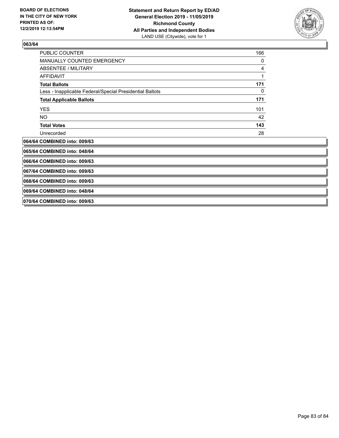

| <b>PUBLIC COUNTER</b>                                    | 166 |
|----------------------------------------------------------|-----|
| MANUALLY COUNTED EMERGENCY                               | 0   |
| <b>ABSENTEE / MILITARY</b>                               | 4   |
| <b>AFFIDAVIT</b>                                         | 1   |
| <b>Total Ballots</b>                                     | 171 |
| Less - Inapplicable Federal/Special Presidential Ballots | 0   |
| <b>Total Applicable Ballots</b>                          | 171 |
| <b>YES</b>                                               | 101 |
| NO.                                                      | 42  |
| <b>Total Votes</b>                                       | 143 |
| Unrecorded                                               | 28  |
| 064/64 COMBINED into: 009/63                             |     |
| 065/64 COMBINED into: 048/64                             |     |
| 066/64 COMBINED into: 009/63                             |     |
| 067/64 COMBINED into: 009/63                             |     |
| 068/64 COMBINED into: 009/63                             |     |
| 069/64 COMBINED into: 048/64                             |     |

**070/64 COMBINED into: 009/63**